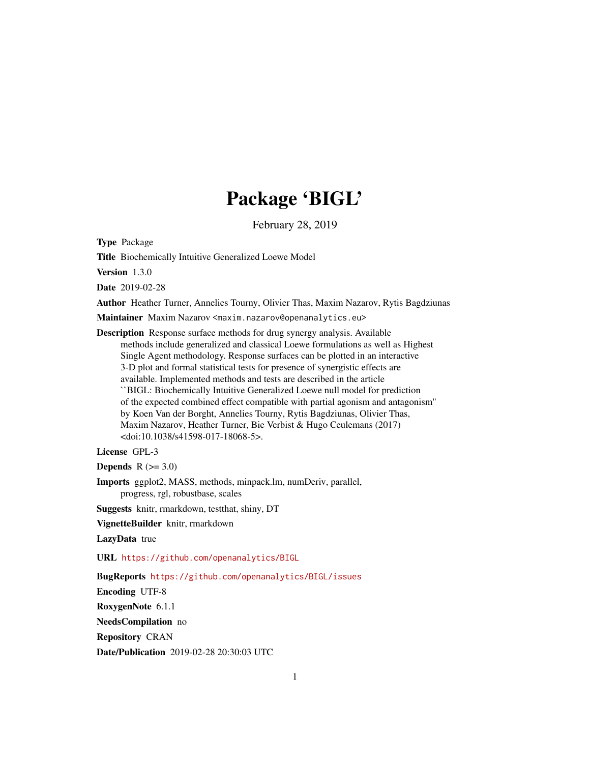# Package 'BIGL'

February 28, 2019

<span id="page-0-0"></span>Type Package

Title Biochemically Intuitive Generalized Loewe Model

Version 1.3.0

Date 2019-02-28

Author Heather Turner, Annelies Tourny, Olivier Thas, Maxim Nazarov, Rytis Bagdziunas

Maintainer Maxim Nazarov <maxim.nazarov@openanalytics.eu>

Description Response surface methods for drug synergy analysis. Available methods include generalized and classical Loewe formulations as well as Highest Single Agent methodology. Response surfaces can be plotted in an interactive 3-D plot and formal statistical tests for presence of synergistic effects are available. Implemented methods and tests are described in the article ``BIGL: Biochemically Intuitive Generalized Loewe null model for prediction of the expected combined effect compatible with partial agonism and antagonism'' by Koen Van der Borght, Annelies Tourny, Rytis Bagdziunas, Olivier Thas, Maxim Nazarov, Heather Turner, Bie Verbist & Hugo Ceulemans (2017) <doi:10.1038/s41598-017-18068-5>.

License GPL-3

Depends  $R$  ( $>= 3.0$ )

Imports ggplot2, MASS, methods, minpack.lm, numDeriv, parallel, progress, rgl, robustbase, scales

Suggests knitr, rmarkdown, testthat, shiny, DT

VignetteBuilder knitr, rmarkdown

LazyData true

URL <https://github.com/openanalytics/BIGL>

BugReports <https://github.com/openanalytics/BIGL/issues>

Encoding UTF-8

RoxygenNote 6.1.1

NeedsCompilation no

Repository CRAN

Date/Publication 2019-02-28 20:30:03 UTC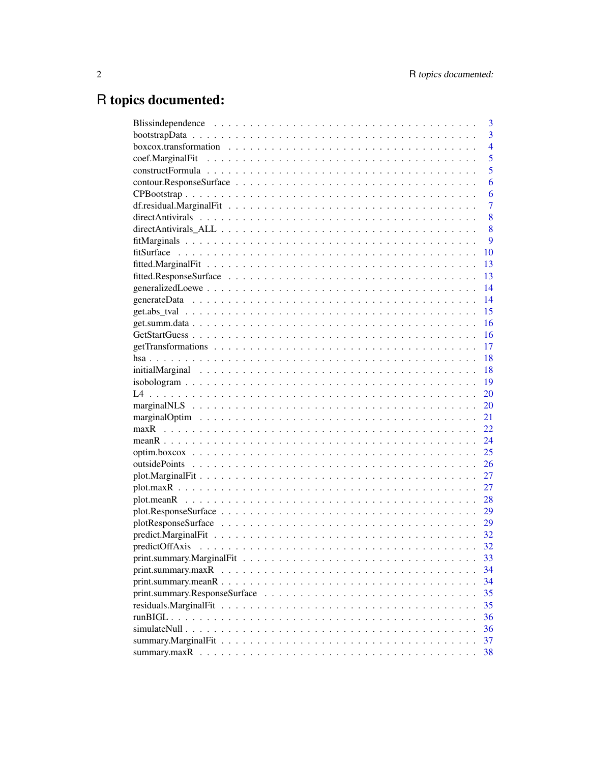# R topics documented:

| 3              |
|----------------|
| 3              |
| $\overline{4}$ |
| 5              |
| $\overline{5}$ |
| 6              |
| 6              |
| $\overline{7}$ |
| 8              |
| 8              |
| 9              |
| 10             |
| 13             |
| 13             |
| 14             |
| 14             |
| 15             |
| 16             |
| 16             |
| 17             |
| 18             |
| 18             |
| 19             |
| 20             |
| 20             |
| 21             |
| 22             |
| 24             |
| 25             |
| 26             |
| 27             |
| 27             |
|                |
| 29             |
| 29             |
|                |
| 32             |
| 33             |
| 34             |
| 34             |
| 35             |
| 35             |
| 36             |
| 36             |
| 37             |
| 38             |
|                |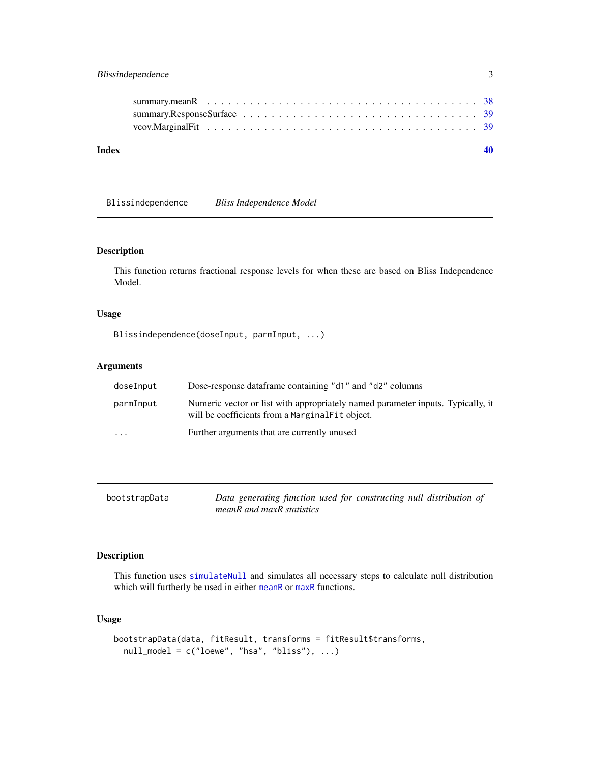### <span id="page-2-0"></span>Blissindependence 3

| Index |  |
|-------|--|
|       |  |
|       |  |
|       |  |

Blissindependence *Bliss Independence Model*

### Description

This function returns fractional response levels for when these are based on Bliss Independence Model.

### Usage

Blissindependence(doseInput, parmInput, ...)

### Arguments

| doseInput               | Dose-response dataframe containing "d1" and "d2" columns                                                                           |
|-------------------------|------------------------------------------------------------------------------------------------------------------------------------|
| parmInput               | Numeric vector or list with appropriately named parameter inputs. Typically, it<br>will be coefficients from a MarginalFit object. |
| $\cdot$ $\cdot$ $\cdot$ | Further arguments that are currently unused                                                                                        |

| bootstrapData | Data generating function used for constructing null distribution of |
|---------------|---------------------------------------------------------------------|
|               | meanR and maxR statistics                                           |

### Description

This function uses [simulateNull](#page-35-1) and simulates all necessary steps to calculate null distribution which will furtherly be used in either [meanR](#page-23-1) or [maxR](#page-21-1) functions.

```
bootstrapData(data, fitResult, transforms = fitResult$transforms,
 null_model = c("loewe", "hsa", "bliss"), ...)
```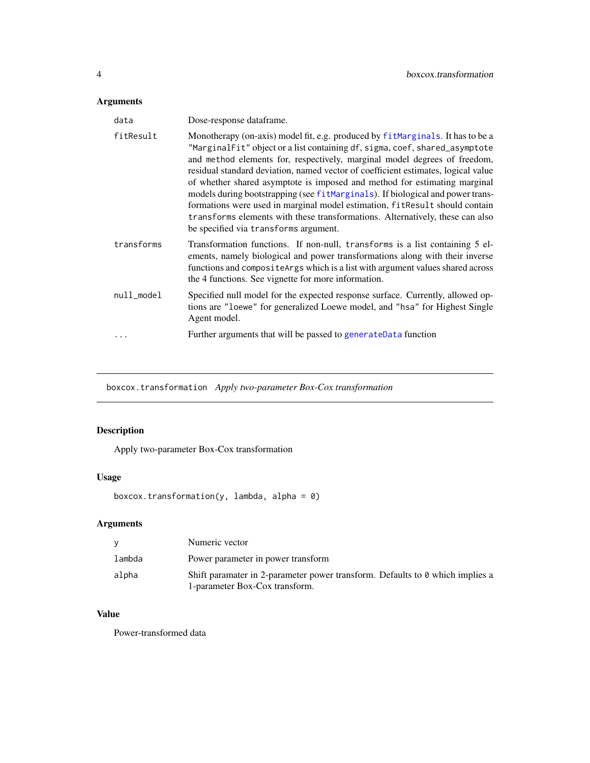### <span id="page-3-0"></span>Arguments

| data       | Dose-response dataframe.                                                                                                                                                                                                                                                                                                                                                                                                                                                                                                                                                                                                                                                                                |
|------------|---------------------------------------------------------------------------------------------------------------------------------------------------------------------------------------------------------------------------------------------------------------------------------------------------------------------------------------------------------------------------------------------------------------------------------------------------------------------------------------------------------------------------------------------------------------------------------------------------------------------------------------------------------------------------------------------------------|
| fitResult  | Monotherapy (on-axis) model fit, e.g. produced by fitMarginals. It has to be a<br>"MarginalFit" object or a list containing df, sigma, coef, shared_asymptote<br>and method elements for, respectively, marginal model degrees of freedom,<br>residual standard deviation, named vector of coefficient estimates, logical value<br>of whether shared asymptote is imposed and method for estimating marginal<br>models during bootstrapping (see fitMarginals). If biological and power trans-<br>formations were used in marginal model estimation, fitResult should contain<br>transforms elements with these transformations. Alternatively, these can also<br>be specified via transforms argument. |
| transforms | Transformation functions. If non-null, transforms is a list containing 5 el-<br>ements, namely biological and power transformations along with their inverse<br>functions and composite Args which is a list with argument values shared across<br>the 4 functions. See vignette for more information.                                                                                                                                                                                                                                                                                                                                                                                                  |
| null_model | Specified null model for the expected response surface. Currently, allowed op-<br>tions are "loewe" for generalized Loewe model, and "hsa" for Highest Single<br>Agent model.                                                                                                                                                                                                                                                                                                                                                                                                                                                                                                                           |
|            | Further arguments that will be passed to generateData function                                                                                                                                                                                                                                                                                                                                                                                                                                                                                                                                                                                                                                          |

boxcox.transformation *Apply two-parameter Box-Cox transformation*

### Description

Apply two-parameter Box-Cox transformation

### Usage

boxcox.transformation(y, lambda, alpha = 0)

## Arguments

|        | Numeric vector                                                                |
|--------|-------------------------------------------------------------------------------|
| lambda | Power parameter in power transform                                            |
| alpha  | Shift paramater in 2-parameter power transform. Defaults to 0 which implies a |
|        | 1-parameter Box-Cox transform.                                                |

### Value

Power-transformed data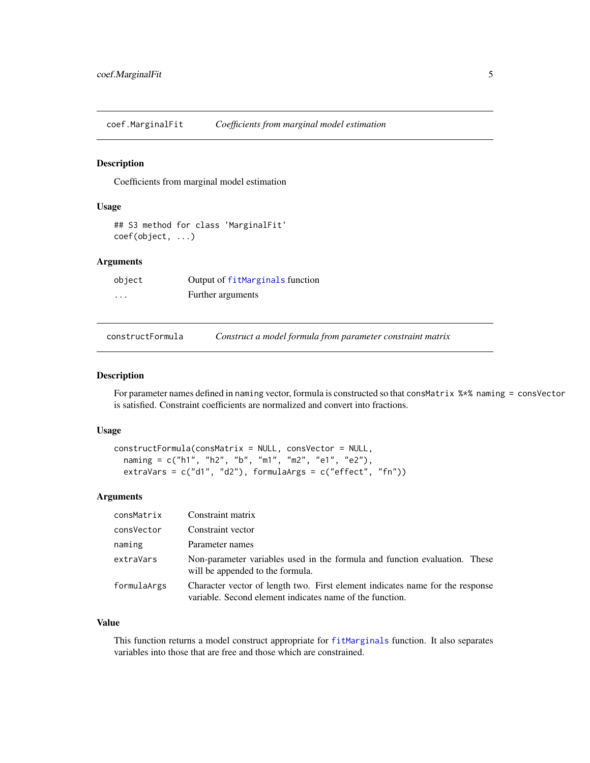<span id="page-4-0"></span>coef.MarginalFit *Coefficients from marginal model estimation*

### Description

Coefficients from marginal model estimation

#### Usage

```
## S3 method for class 'MarginalFit'
coef(object, ...)
```
#### Arguments

| object   | Output of fitMarginals function |
|----------|---------------------------------|
| $\cdots$ | Further arguments               |

<span id="page-4-1"></span>constructFormula *Construct a model formula from parameter constraint matrix*

#### Description

For parameter names defined in naming vector, formula is constructed so that consMatrix %\*% naming = consVector is satisfied. Constraint coefficients are normalized and convert into fractions.

### Usage

```
constructFormula(consMatrix = NULL, consVector = NULL,
  naming = c("h1", "h2", "b", "m1", "m2", "e1", "e2"),
 extraVars = c("d1", "d2"), formulaArgs = c("effect", "fn"))
```
### Arguments

| consMatrix  | Constraint matrix                                                                                                                         |
|-------------|-------------------------------------------------------------------------------------------------------------------------------------------|
| consVector  | Constraint vector                                                                                                                         |
| naming      | Parameter names                                                                                                                           |
| extraVars   | Non-parameter variables used in the formula and function evaluation. These<br>will be appended to the formula.                            |
| formulaArgs | Character vector of length two. First element indicates name for the response<br>variable. Second element indicates name of the function. |

#### Value

This function returns a model construct appropriate for [fitMarginals](#page-8-1) function. It also separates variables into those that are free and those which are constrained.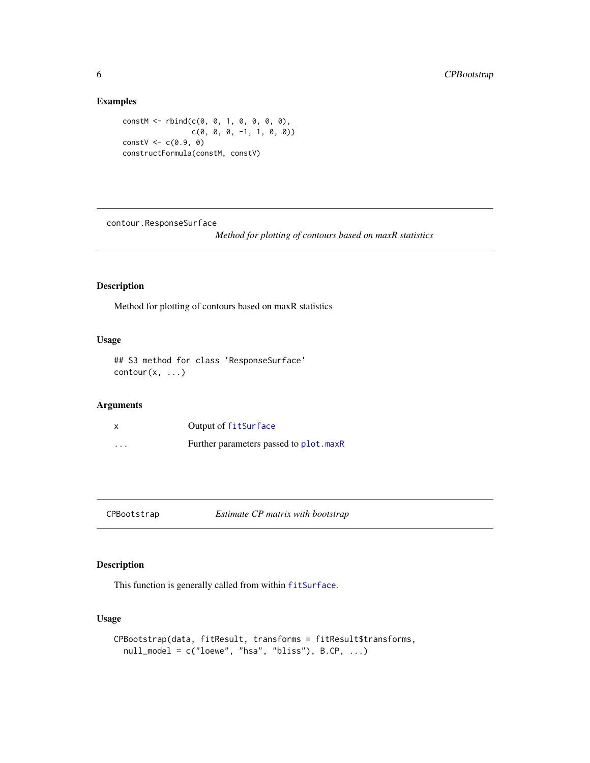### Examples

```
constM <- rbind(c(0, 0, 1, 0, 0, 0, 0),
                    c(\emptyset, \emptyset, \emptyset, -1, 1, \emptyset, \emptyset))constV < -c(0.9, 0)constructFormula(constM, constV)
```
contour.ResponseSurface

*Method for plotting of contours based on maxR statistics*

### Description

Method for plotting of contours based on maxR statistics

### Usage

## S3 method for class 'ResponseSurface'  $contour(x, \ldots)$ 

### Arguments

|                         | Output of fitSurface                   |
|-------------------------|----------------------------------------|
| $\cdot$ $\cdot$ $\cdot$ | Further parameters passed to plot.maxR |

<span id="page-5-1"></span>CPBootstrap *Estimate CP matrix with bootstrap*

### Description

This function is generally called from within [fitSurface](#page-9-1).

```
CPBootstrap(data, fitResult, transforms = fitResult$transforms,
 null_model = c("loewe", "hsa", "bliss"), B.CP, ...)
```
<span id="page-5-0"></span>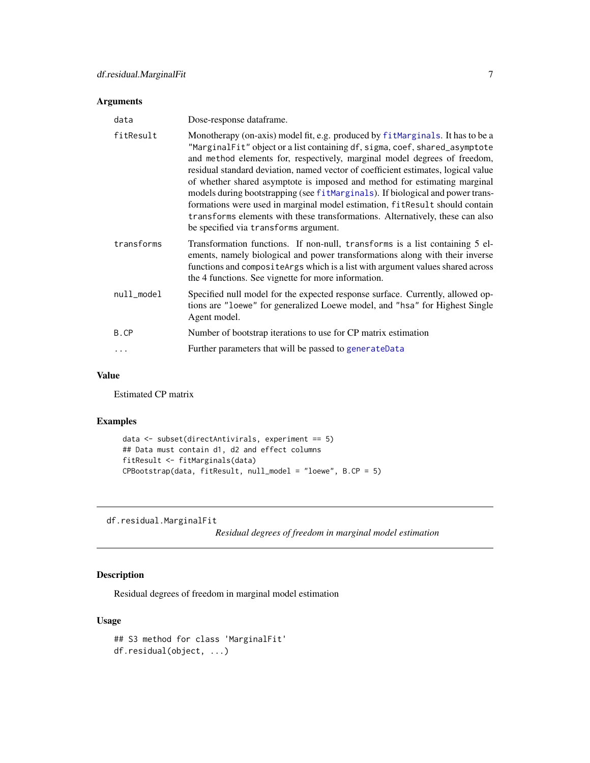#### <span id="page-6-0"></span>Arguments

| data       | Dose-response dataframe.                                                                                                                                                                                                                                                                                                                                                                                                                                                                                                                                                                                                                                                                                |
|------------|---------------------------------------------------------------------------------------------------------------------------------------------------------------------------------------------------------------------------------------------------------------------------------------------------------------------------------------------------------------------------------------------------------------------------------------------------------------------------------------------------------------------------------------------------------------------------------------------------------------------------------------------------------------------------------------------------------|
| fitResult  | Monotherapy (on-axis) model fit, e.g. produced by fitMarginals. It has to be a<br>"MarginalFit" object or a list containing df, sigma, coef, shared_asymptote<br>and method elements for, respectively, marginal model degrees of freedom,<br>residual standard deviation, named vector of coefficient estimates, logical value<br>of whether shared asymptote is imposed and method for estimating marginal<br>models during bootstrapping (see fitMarginals). If biological and power trans-<br>formations were used in marginal model estimation, fitResult should contain<br>transforms elements with these transformations. Alternatively, these can also<br>be specified via transforms argument. |
| transforms | Transformation functions. If non-null, transforms is a list containing 5 el-<br>ements, namely biological and power transformations along with their inverse<br>functions and compositeArgs which is a list with argument values shared across<br>the 4 functions. See vignette for more information.                                                                                                                                                                                                                                                                                                                                                                                                   |
| null_model | Specified null model for the expected response surface. Currently, allowed op-<br>tions are "loewe" for generalized Loewe model, and "hsa" for Highest Single<br>Agent model.                                                                                                                                                                                                                                                                                                                                                                                                                                                                                                                           |
| B.CP       | Number of bootstrap iterations to use for CP matrix estimation                                                                                                                                                                                                                                                                                                                                                                                                                                                                                                                                                                                                                                          |
| $\cdots$   | Further parameters that will be passed to generateData                                                                                                                                                                                                                                                                                                                                                                                                                                                                                                                                                                                                                                                  |

#### Value

Estimated CP matrix

#### Examples

```
data <- subset(directAntivirals, experiment == 5)
## Data must contain d1, d2 and effect columns
fitResult <- fitMarginals(data)
CPBootstrap(data, fitResult, null_model = "loewe", B.CP = 5)
```
df.residual.MarginalFit

*Residual degrees of freedom in marginal model estimation*

### Description

Residual degrees of freedom in marginal model estimation

```
## S3 method for class 'MarginalFit'
df.residual(object, ...)
```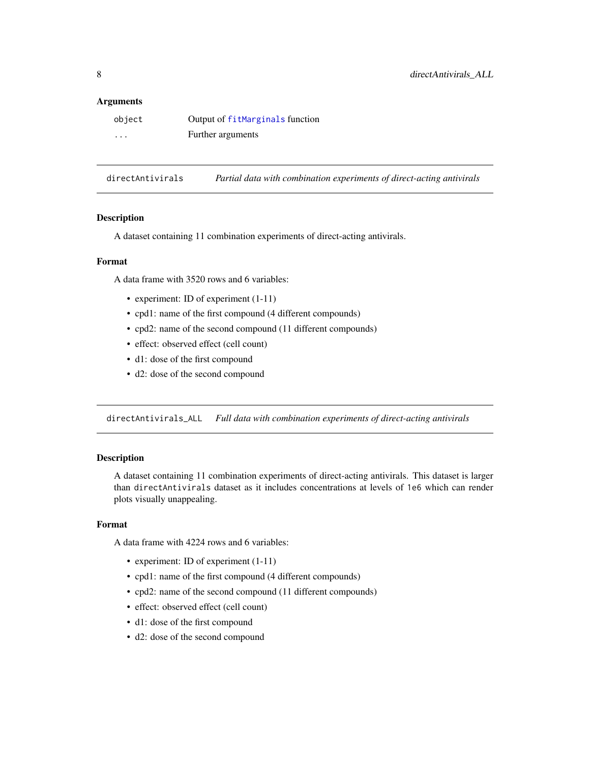#### <span id="page-7-0"></span>**Arguments**

| object   | Output of fitMarginals function |
|----------|---------------------------------|
| $\cdots$ | Further arguments               |

directAntivirals *Partial data with combination experiments of direct-acting antivirals*

#### Description

A dataset containing 11 combination experiments of direct-acting antivirals.

#### Format

A data frame with 3520 rows and 6 variables:

- experiment: ID of experiment  $(1-11)$
- cpd1: name of the first compound (4 different compounds)
- cpd2: name of the second compound (11 different compounds)
- effect: observed effect (cell count)
- d1: dose of the first compound
- d2: dose of the second compound

directAntivirals\_ALL *Full data with combination experiments of direct-acting antivirals*

#### Description

A dataset containing 11 combination experiments of direct-acting antivirals. This dataset is larger than directAntivirals dataset as it includes concentrations at levels of 1e6 which can render plots visually unappealing.

### Format

A data frame with 4224 rows and 6 variables:

- experiment: ID of experiment  $(1-11)$
- cpd1: name of the first compound (4 different compounds)
- cpd2: name of the second compound (11 different compounds)
- effect: observed effect (cell count)
- d1: dose of the first compound
- d2: dose of the second compound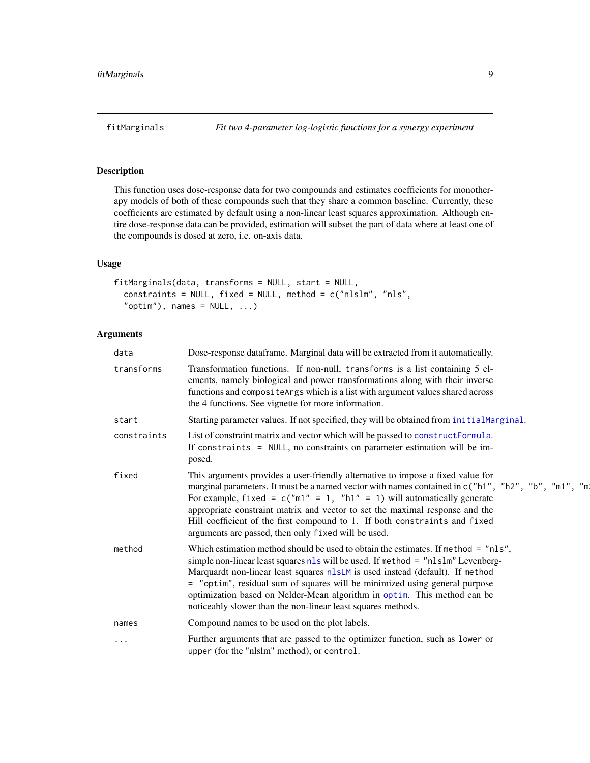<span id="page-8-1"></span><span id="page-8-0"></span>

### Description

This function uses dose-response data for two compounds and estimates coefficients for monotherapy models of both of these compounds such that they share a common baseline. Currently, these coefficients are estimated by default using a non-linear least squares approximation. Although entire dose-response data can be provided, estimation will subset the part of data where at least one of the compounds is dosed at zero, i.e. on-axis data.

#### Usage

```
fitMarginals(data, transforms = NULL, start = NULL,
  constraints = NULL, fixed = NULL, method = c("nlslm", "nls","optim"), names = NULL, ...)
```

| data        | Dose-response dataframe. Marginal data will be extracted from it automatically.                                                                                                                                                                                                                                                                                                                                                                                                         |
|-------------|-----------------------------------------------------------------------------------------------------------------------------------------------------------------------------------------------------------------------------------------------------------------------------------------------------------------------------------------------------------------------------------------------------------------------------------------------------------------------------------------|
| transforms  | Transformation functions. If non-null, transforms is a list containing 5 el-<br>ements, namely biological and power transformations along with their inverse<br>functions and composite Args which is a list with argument values shared across<br>the 4 functions. See vignette for more information.                                                                                                                                                                                  |
| start       | Starting parameter values. If not specified, they will be obtained from initialMarginal.                                                                                                                                                                                                                                                                                                                                                                                                |
| constraints | List of constraint matrix and vector which will be passed to constructFormula.<br>If constraints = NULL, no constraints on parameter estimation will be im-<br>posed.                                                                                                                                                                                                                                                                                                                   |
| fixed       | This arguments provides a user-friendly alternative to impose a fixed value for<br>marginal parameters. It must be a named vector with names contained in c("h1", "h2", "b", "m1", "m<br>For example, fixed = $c("m1" = 1, "h1" = 1)$ will automatically generate<br>appropriate constraint matrix and vector to set the maximal response and the<br>Hill coefficient of the first compound to 1. If both constraints and fixed<br>arguments are passed, then only fixed will be used.  |
| method      | Which estimation method should be used to obtain the estimates. If method = "nls",<br>simple non-linear least squares $nls$ will be used. If method = " $nlslm$ " Levenberg-<br>Marquardt non-linear least squares n1sLM is used instead (default). If method<br>= "optim", residual sum of squares will be minimized using general purpose<br>optimization based on Nelder-Mean algorithm in optim. This method can be<br>noticeably slower than the non-linear least squares methods. |
| names       | Compound names to be used on the plot labels.                                                                                                                                                                                                                                                                                                                                                                                                                                           |
| .           | Further arguments that are passed to the optimizer function, such as lower or<br>upper (for the "nlslm" method), or control.                                                                                                                                                                                                                                                                                                                                                            |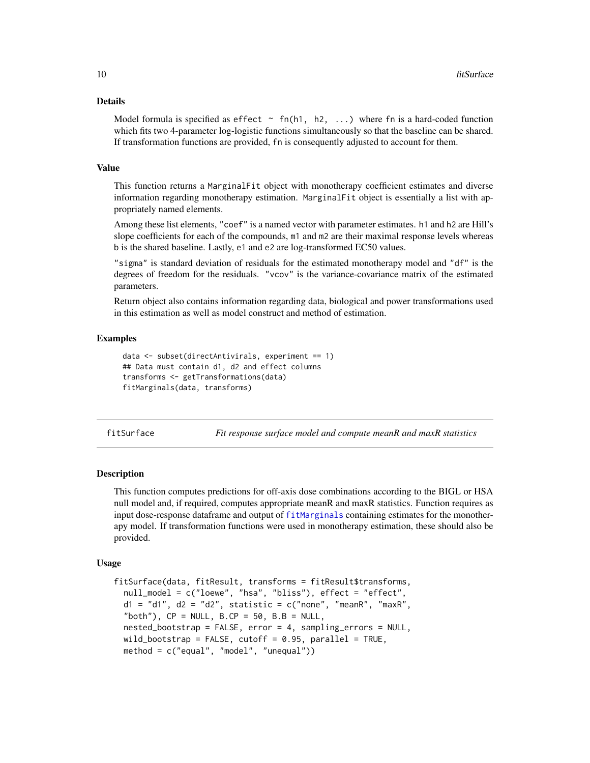#### <span id="page-9-0"></span>Details

Model formula is specified as effect  $\sim$  fn(h1, h2, ...) where fn is a hard-coded function which fits two 4-parameter log-logistic functions simultaneously so that the baseline can be shared. If transformation functions are provided, fn is consequently adjusted to account for them.

#### Value

This function returns a MarginalFit object with monotherapy coefficient estimates and diverse information regarding monotherapy estimation. MarginalFit object is essentially a list with appropriately named elements.

Among these list elements, "coef" is a named vector with parameter estimates. h1 and h2 are Hill's slope coefficients for each of the compounds,  $m1$  and  $m2$  are their maximal response levels whereas b is the shared baseline. Lastly, e1 and e2 are log-transformed EC50 values.

"sigma" is standard deviation of residuals for the estimated monotherapy model and "df" is the degrees of freedom for the residuals. "vcov" is the variance-covariance matrix of the estimated parameters.

Return object also contains information regarding data, biological and power transformations used in this estimation as well as model construct and method of estimation.

#### Examples

```
data <- subset(directAntivirals, experiment == 1)
## Data must contain d1, d2 and effect columns
transforms <- getTransformations(data)
fitMarginals(data, transforms)
```
<span id="page-9-1"></span>fitSurface *Fit response surface model and compute meanR and maxR statistics*

#### **Description**

This function computes predictions for off-axis dose combinations according to the BIGL or HSA null model and, if required, computes appropriate meanR and maxR statistics. Function requires as input dose-response dataframe and output of [fitMarginals](#page-8-1) containing estimates for the monotherapy model. If transformation functions were used in monotherapy estimation, these should also be provided.

```
fitSurface(data, fitResult, transforms = fitResult$transforms,
 null_model = c("loewe", "hsa", "bliss"), effect = "effect",
 d1 = "d1", d2 = "d2", statistic = c("none", "meanR", "maxR","both"), CP = NULL, B.CP = 50, B.B = NULL,
 nested_bootstrap = FALSE, error = 4, sampling_errors = NULL,
 wild_bootstrap = FALSE, cutoff = 0.95, parallel = TRUE,
 method = c("equal", "model", "unequal"))
```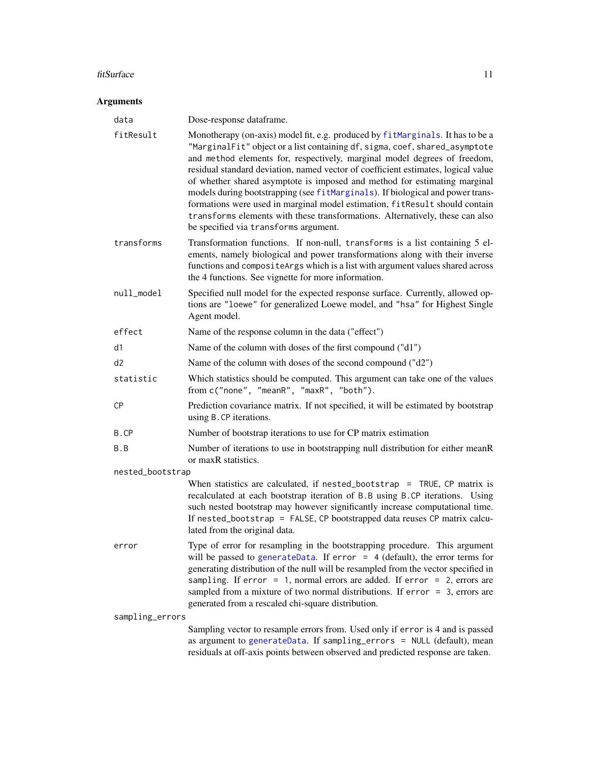#### <span id="page-10-0"></span>fitSurface 11

| data             | Dose-response dataframe.                                                                                                                                                                                                                                                                                                                                                                                                                                                                                                                                                                                                                                                                                |
|------------------|---------------------------------------------------------------------------------------------------------------------------------------------------------------------------------------------------------------------------------------------------------------------------------------------------------------------------------------------------------------------------------------------------------------------------------------------------------------------------------------------------------------------------------------------------------------------------------------------------------------------------------------------------------------------------------------------------------|
| fitResult        | Monotherapy (on-axis) model fit, e.g. produced by fitMarginals. It has to be a<br>"MarginalFit" object or a list containing df, sigma, coef, shared_asymptote<br>and method elements for, respectively, marginal model degrees of freedom,<br>residual standard deviation, named vector of coefficient estimates, logical value<br>of whether shared asymptote is imposed and method for estimating marginal<br>models during bootstrapping (see fitMarginals). If biological and power trans-<br>formations were used in marginal model estimation, fitResult should contain<br>transforms elements with these transformations. Alternatively, these can also<br>be specified via transforms argument. |
| transforms       | Transformation functions. If non-null, transforms is a list containing 5 el-<br>ements, namely biological and power transformations along with their inverse<br>functions and compositeArgs which is a list with argument values shared across<br>the 4 functions. See vignette for more information.                                                                                                                                                                                                                                                                                                                                                                                                   |
| null_model       | Specified null model for the expected response surface. Currently, allowed op-<br>tions are "loewe" for generalized Loewe model, and "hsa" for Highest Single<br>Agent model.                                                                                                                                                                                                                                                                                                                                                                                                                                                                                                                           |
| effect           | Name of the response column in the data ("effect")                                                                                                                                                                                                                                                                                                                                                                                                                                                                                                                                                                                                                                                      |
| d1               | Name of the column with doses of the first compound ("d1")                                                                                                                                                                                                                                                                                                                                                                                                                                                                                                                                                                                                                                              |
| d2               | Name of the column with doses of the second compound ("d2")                                                                                                                                                                                                                                                                                                                                                                                                                                                                                                                                                                                                                                             |
| statistic        | Which statistics should be computed. This argument can take one of the values<br>from c("none", "meanR", "maxR", "both").                                                                                                                                                                                                                                                                                                                                                                                                                                                                                                                                                                               |
| <b>CP</b>        | Prediction covariance matrix. If not specified, it will be estimated by bootstrap<br>using B.CP iterations.                                                                                                                                                                                                                                                                                                                                                                                                                                                                                                                                                                                             |
| B.CP             | Number of bootstrap iterations to use for CP matrix estimation                                                                                                                                                                                                                                                                                                                                                                                                                                                                                                                                                                                                                                          |
| B.B              | Number of iterations to use in bootstrapping null distribution for either meanR<br>or maxR statistics.                                                                                                                                                                                                                                                                                                                                                                                                                                                                                                                                                                                                  |
| nested_bootstrap |                                                                                                                                                                                                                                                                                                                                                                                                                                                                                                                                                                                                                                                                                                         |
|                  | When statistics are calculated, if $nested\_bootstrap = TRUE$ , CP matrix is<br>recalculated at each bootstrap iteration of B.B using B.CP iterations. Using<br>such nested bootstrap may however significantly increase computational time.<br>If nested_bootstrap = FALSE, CP bootstrapped data reuses CP matrix calcu-<br>lated from the original data.                                                                                                                                                                                                                                                                                                                                              |
| error            | Type of error for resampling in the bootstrapping procedure. This argument<br>will be passed to generate Data. If error $= 4$ (default), the error terms for<br>generating distribution of the null will be resampled from the vector specified in<br>sampling. If error = 1, normal errors are added. If error = 2, errors are<br>sampled from a mixture of two normal distributions. If $error = 3$ , errors are<br>generated from a rescaled chi-square distribution.                                                                                                                                                                                                                                |
| sampling_errors  |                                                                                                                                                                                                                                                                                                                                                                                                                                                                                                                                                                                                                                                                                                         |
|                  | Sampling vector to resample errors from. Used only if error is 4 and is passed<br>as argument to generateData. If sampling_errors = NULL (default), mean<br>residuals at off-axis points between observed and predicted response are taken.                                                                                                                                                                                                                                                                                                                                                                                                                                                             |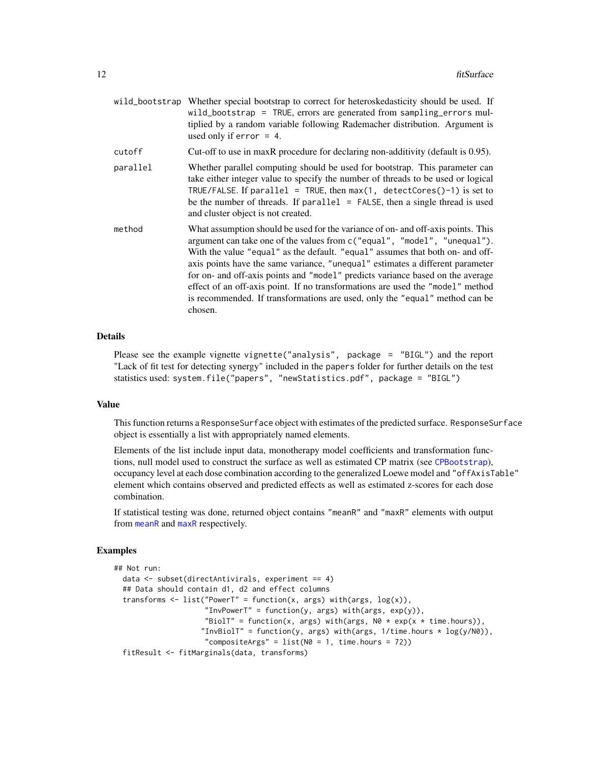<span id="page-11-0"></span>

|        | wild_bootstrap Whether special bootstrap to correct for heteroskedasticity should be used. If |
|--------|-----------------------------------------------------------------------------------------------|
|        | wild_bootstrap = TRUE, errors are generated from sampling errors mul-                         |
|        | tiplied by a random variable following Rademacher distribution. Argument is                   |
|        | used only if $error = 4$ .                                                                    |
| cutoff | Cut-off to use in maxR procedure for declaring non-additivity (default is 0.95).              |

- parallel Whether parallel computing should be used for bootstrap. This parameter can take either integer value to specify the number of threads to be used or logical TRUE/FALSE. If parallel = TRUE, then  $max(1, detectCores() - 1)$  is set to be the number of threads. If parallel  $=$  FALSE, then a single thread is used and cluster object is not created.
- method What assumption should be used for the variance of on- and off-axis points. This argument can take one of the values from c("equal", "model", "unequal"). With the value "equal" as the default. "equal" assumes that both on- and offaxis points have the same variance, "unequal" estimates a different parameter for on- and off-axis points and "model" predicts variance based on the average effect of an off-axis point. If no transformations are used the "model" method is recommended. If transformations are used, only the "equal" method can be chosen.

#### Details

Please see the example vignette vignette("analysis", package = "BIGL") and the report "Lack of fit test for detecting synergy" included in the papers folder for further details on the test statistics used: system.file("papers", "newStatistics.pdf", package = "BIGL")

#### Value

This function returns a ResponseSurface object with estimates of the predicted surface. ResponseSurface object is essentially a list with appropriately named elements.

Elements of the list include input data, monotherapy model coefficients and transformation functions, null model used to construct the surface as well as estimated CP matrix (see [CPBootstrap](#page-5-1)), occupancy level at each dose combination according to the generalized Loewe model and "offAxisTable" element which contains observed and predicted effects as well as estimated z-scores for each dose combination.

If statistical testing was done, returned object contains "meanR" and "maxR" elements with output from [meanR](#page-23-1) and [maxR](#page-21-1) respectively.

#### Examples

```
## Not run:
 data <- subset(directAntivirals, experiment == 4)
 ## Data should contain d1, d2 and effect columns
 transforms \leq list("PowerT" = function(x, args) with(args, \log(x)),
                     "InvPowerT" = function(y, args) with(args, exp(y)),
                     "BiolT" = function(x, args) with(args, N0 * exp(x * time.hours)),
                    "InvBiolT" = function(y, args) with(args, 1/time.hours * log(y/N0)),
                     "compositeArgs" = list(N0 = 1, time.hours = 72))
 fitResult <- fitMarginals(data, transforms)
```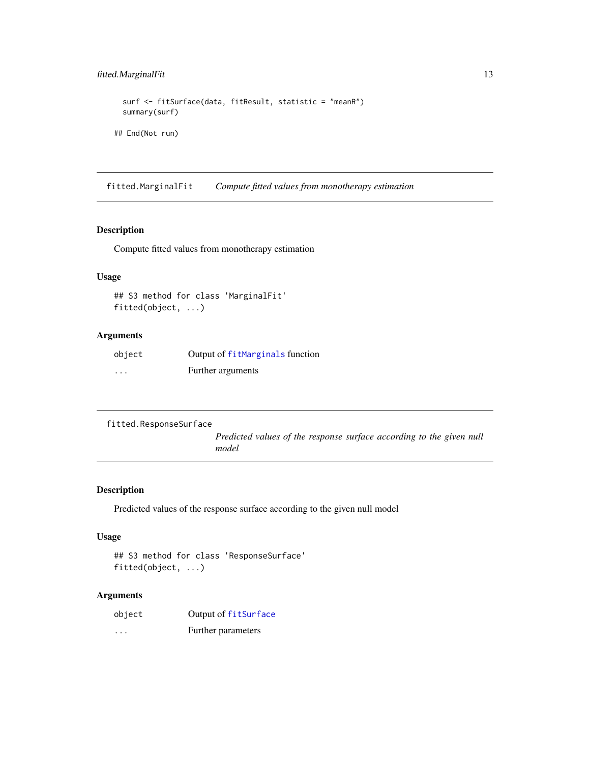### <span id="page-12-0"></span>fitted.MarginalFit 13

```
surf <- fitSurface(data, fitResult, statistic = "meanR")
summary(surf)
```
## End(Not run)

fitted.MarginalFit *Compute fitted values from monotherapy estimation*

### Description

Compute fitted values from monotherapy estimation

### Usage

```
## S3 method for class 'MarginalFit'
fitted(object, ...)
```
### Arguments

| object   | Output of fitMarginals function |
|----------|---------------------------------|
| $\cdots$ | Further arguments               |

```
fitted.ResponseSurface
```
*Predicted values of the response surface according to the given null model*

### Description

Predicted values of the response surface according to the given null model

#### Usage

```
## S3 method for class 'ResponseSurface'
fitted(object, ...)
```

| object   | Output of fitSurface |
|----------|----------------------|
| $\cdots$ | Further parameters   |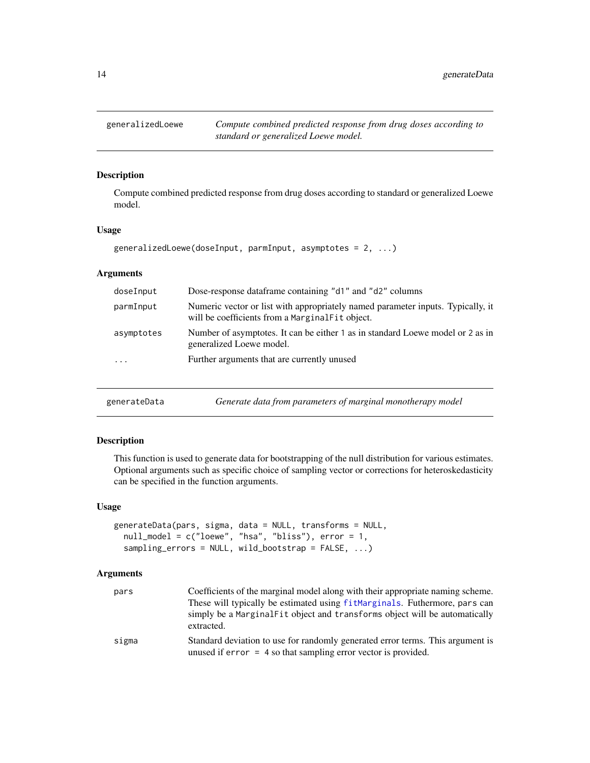<span id="page-13-0"></span>generalizedLoewe *Compute combined predicted response from drug doses according to standard or generalized Loewe model.*

### Description

Compute combined predicted response from drug doses according to standard or generalized Loewe model.

#### Usage

```
generalizedLoewe(doseInput, parmInput, asymptotes = 2, ...)
```
#### Arguments

| doseInput  | Dose-response dataframe containing "d1" and "d2" columns                                                                           |
|------------|------------------------------------------------------------------------------------------------------------------------------------|
| parmInput  | Numeric vector or list with appropriately named parameter inputs. Typically, it<br>will be coefficients from a MarginalFit object. |
| asymptotes | Number of asymptotes. It can be either 1 as in standard Loewe model or 2 as in<br>generalized Loewe model.                         |
| $\cdots$   | Further arguments that are currently unused                                                                                        |
|            |                                                                                                                                    |

<span id="page-13-1"></span>

| generateData | Generate data from parameters of marginal monotherapy model |  |
|--------------|-------------------------------------------------------------|--|
|--------------|-------------------------------------------------------------|--|

### Description

This function is used to generate data for bootstrapping of the null distribution for various estimates. Optional arguments such as specific choice of sampling vector or corrections for heteroskedasticity can be specified in the function arguments.

#### Usage

```
generateData(pars, sigma, data = NULL, transforms = NULL,
 null_model = c("loewe", "hsa", "bliss"), error = 1,
  sampling_errors = NULL, wild_bootstrap = FALSE, ...)
```

| pars  | Coefficients of the marginal model along with their appropriate naming scheme.                                                                     |
|-------|----------------------------------------------------------------------------------------------------------------------------------------------------|
|       | These will typically be estimated using fitMarginals. Futhermore, pars can                                                                         |
|       | simply be a Marginal Fit object and transforms object will be automatically<br>extracted.                                                          |
| sigma | Standard deviation to use for randomly generated error terms. This argument is<br>unused if $error = 4$ so that sampling error vector is provided. |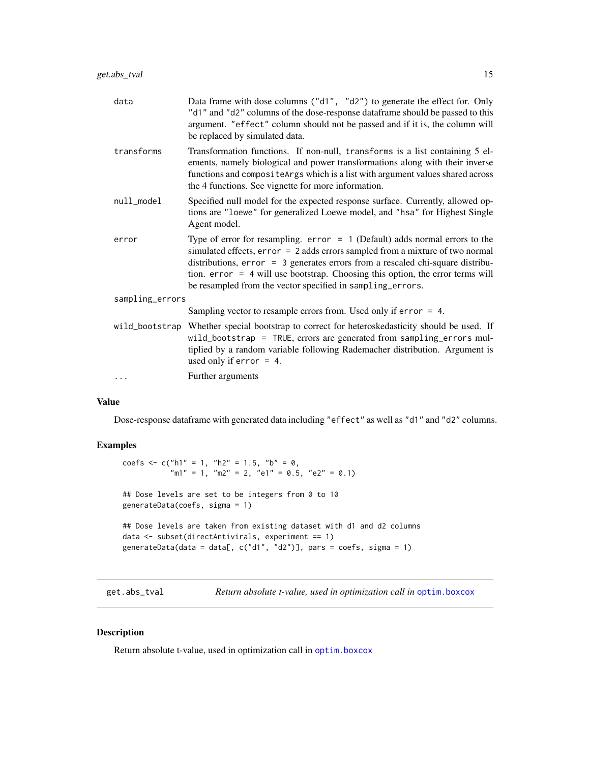<span id="page-14-0"></span>

| data            | Data frame with dose columns ("d1", "d2") to generate the effect for. Only<br>"d1" and "d2" columns of the dose-response dataframe should be passed to this<br>argument. "effect" column should not be passed and if it is, the column will<br>be replaced by simulated data.                                                                                                                    |
|-----------------|--------------------------------------------------------------------------------------------------------------------------------------------------------------------------------------------------------------------------------------------------------------------------------------------------------------------------------------------------------------------------------------------------|
| transforms      | Transformation functions. If non-null, transforms is a list containing 5 el-<br>ements, namely biological and power transformations along with their inverse<br>functions and composite Args which is a list with argument values shared across<br>the 4 functions. See vignette for more information.                                                                                           |
| null_model      | Specified null model for the expected response surface. Currently, allowed op-<br>tions are "loewe" for generalized Loewe model, and "hsa" for Highest Single<br>Agent model.                                                                                                                                                                                                                    |
| error           | Type of error for resampling. $error = 1$ (Default) adds normal errors to the<br>simulated effects, error = 2 adds errors sampled from a mixture of two normal<br>distributions, error = 3 generates errors from a rescaled chi-square distribu-<br>tion. error = 4 will use bootstrap. Choosing this option, the error terms will<br>be resampled from the vector specified in sampling_errors. |
| sampling_errors |                                                                                                                                                                                                                                                                                                                                                                                                  |
|                 | Sampling vector to resample errors from. Used only if $error = 4$ .                                                                                                                                                                                                                                                                                                                              |
| wild_bootstrap  | Whether special bootstrap to correct for heteroskedasticity should be used. If<br>wild_bootstrap = TRUE, errors are generated from sampling_errors mul-<br>tiplied by a random variable following Rademacher distribution. Argument is<br>used only if $error = 4$ .                                                                                                                             |
| $\ddots$        | Further arguments                                                                                                                                                                                                                                                                                                                                                                                |
|                 |                                                                                                                                                                                                                                                                                                                                                                                                  |

### Value

Dose-response dataframe with generated data including "effect" as well as "d1" and "d2" columns.

### Examples

```
coefs <- c("h1" = 1, "h2" = 1.5, "b" = \theta,
           \mu"m1" = 1, "m2" = 2, "e1" = 0.5, "e2" = 0.1)
## Dose levels are set to be integers from 0 to 10
generateData(coefs, sigma = 1)
## Dose levels are taken from existing dataset with d1 and d2 columns
data <- subset(directAntivirals, experiment == 1)
generateData(data = data[, c("d1", "d2")], pars = coefs, sigma = 1)
```
get.abs\_tval *Return absolute t-value, used in optimization call in* [optim.boxcox](#page-24-1)

#### Description

Return absolute t-value, used in optimization call in [optim.boxcox](#page-24-1)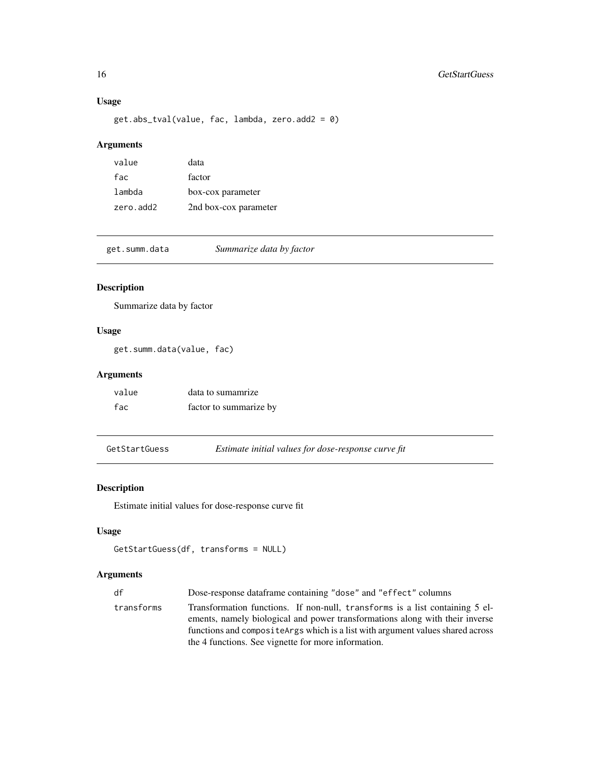### Usage

get.abs\_tval(value, fac, lambda, zero.add2 = 0)

### Arguments

| value     | data                  |
|-----------|-----------------------|
| fac       | factor                |
| lambda    | box-cox parameter     |
| zero.add2 | 2nd box-cox parameter |

get.summ.data *Summarize data by factor*

### Description

Summarize data by factor

### Usage

get.summ.data(value, fac)

### Arguments

| value | data to sumamrize      |
|-------|------------------------|
| fac   | factor to summarize by |

GetStartGuess *Estimate initial values for dose-response curve fit*

### Description

Estimate initial values for dose-response curve fit

### Usage

```
GetStartGuess(df, transforms = NULL)
```

| df         | Dose-response dataframe containing "dose" and "effect" columns                                                                                                                                                                                                                                         |
|------------|--------------------------------------------------------------------------------------------------------------------------------------------------------------------------------------------------------------------------------------------------------------------------------------------------------|
| transforms | Transformation functions. If non-null, transforms is a list containing 5 el-<br>ements, namely biological and power transformations along with their inverse<br>functions and composite Args which is a list with argument values shared across<br>the 4 functions. See vignette for more information. |

<span id="page-15-0"></span>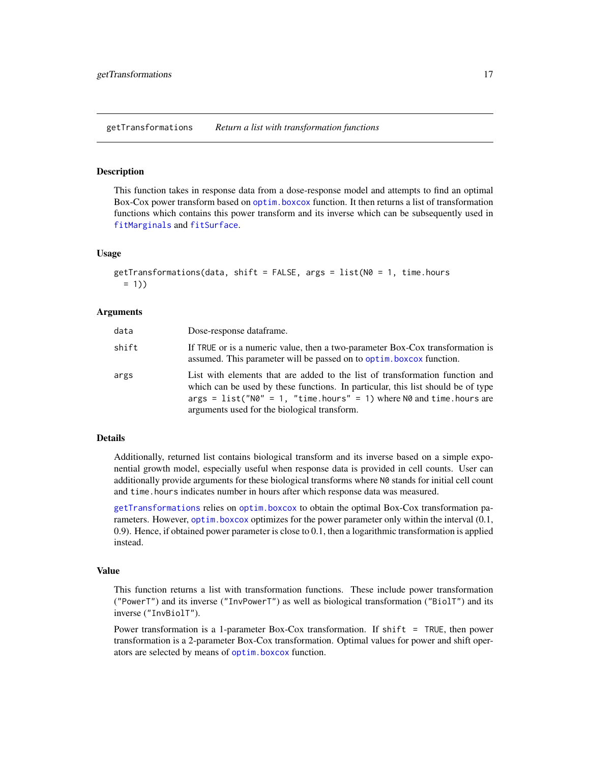<span id="page-16-1"></span><span id="page-16-0"></span>getTransformations *Return a list with transformation functions*

#### Description

This function takes in response data from a dose-response model and attempts to find an optimal Box-Cox power transform based on [optim.boxcox](#page-24-1) function. It then returns a list of transformation functions which contains this power transform and its inverse which can be subsequently used in [fitMarginals](#page-8-1) and [fitSurface](#page-9-1).

#### Usage

```
getTransformations(data, shift = FALSE, args = list(N0 = 1, time.hours)= 1)
```
#### Arguments

| data  | Dose-response dataframe.                                                                                                                                                                                                                                                                  |
|-------|-------------------------------------------------------------------------------------------------------------------------------------------------------------------------------------------------------------------------------------------------------------------------------------------|
| shift | If TRUE or is a numeric value, then a two-parameter Box-Cox transformation is<br>assumed. This parameter will be passed on to optim. boxcox function.                                                                                                                                     |
| args  | List with elements that are added to the list of transformation function and<br>which can be used by these functions. In particular, this list should be of type<br>$args = list("N0" = 1, "time.hours" = 1) where N0 and time.hours are$<br>arguments used for the biological transform. |

#### Details

Additionally, returned list contains biological transform and its inverse based on a simple exponential growth model, especially useful when response data is provided in cell counts. User can additionally provide arguments for these biological transforms where N0 stands for initial cell count and time.hours indicates number in hours after which response data was measured.

[getTransformations](#page-16-1) relies on [optim.boxcox](#page-24-1) to obtain the optimal Box-Cox transformation parameters. However, [optim.boxcox](#page-24-1) optimizes for the power parameter only within the interval (0.1, 0.9). Hence, if obtained power parameter is close to 0.1, then a logarithmic transformation is applied instead.

#### Value

This function returns a list with transformation functions. These include power transformation ("PowerT") and its inverse ("InvPowerT") as well as biological transformation ("BiolT") and its inverse ("InvBiolT").

Power transformation is a 1-parameter Box-Cox transformation. If shift = TRUE, then power transformation is a 2-parameter Box-Cox transformation. Optimal values for power and shift operators are selected by means of [optim.boxcox](#page-24-1) function.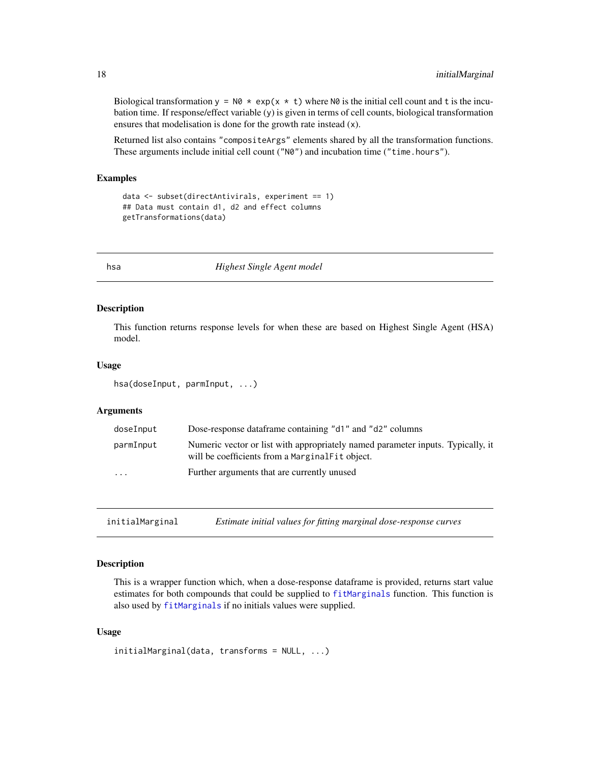Biological transformation  $y = N\theta \times \exp(x \times t)$  where N $\theta$  is the initial cell count and t is the incubation time. If response/effect variable (y) is given in terms of cell counts, biological transformation ensures that modelisation is done for the growth rate instead (x).

Returned list also contains "compositeArgs" elements shared by all the transformation functions. These arguments include initial cell count ("N0") and incubation time ("time.hours").

#### Examples

```
data <- subset(directAntivirals, experiment == 1)
## Data must contain d1, d2 and effect columns
getTransformations(data)
```
hsa *Highest Single Agent model*

#### Description

This function returns response levels for when these are based on Highest Single Agent (HSA) model.

#### Usage

hsa(doseInput, parmInput, ...)

#### Arguments

| doseInput | Dose-response dataframe containing "d1" and "d2" columns                                                                           |
|-----------|------------------------------------------------------------------------------------------------------------------------------------|
| parmInput | Numeric vector or list with appropriately named parameter inputs. Typically, it<br>will be coefficients from a MarginalFit object. |
| $\cdots$  | Further arguments that are currently unused                                                                                        |

<span id="page-17-1"></span>initialMarginal *Estimate initial values for fitting marginal dose-response curves*

#### Description

This is a wrapper function which, when a dose-response dataframe is provided, returns start value estimates for both compounds that could be supplied to [fitMarginals](#page-8-1) function. This function is also used by [fitMarginals](#page-8-1) if no initials values were supplied.

```
initialMarginal(data, transforms = NULL, ...)
```
<span id="page-17-0"></span>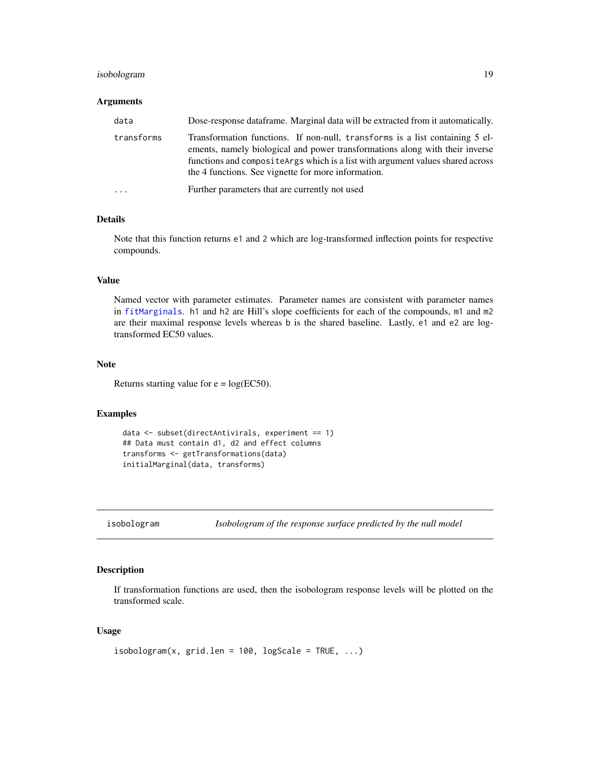### <span id="page-18-0"></span>isobologram 19

#### **Arguments**

| data                    | Dose-response data frame. Marginal data will be extracted from it automatically.                                                                                                                                                                                                                       |
|-------------------------|--------------------------------------------------------------------------------------------------------------------------------------------------------------------------------------------------------------------------------------------------------------------------------------------------------|
| transforms              | Transformation functions. If non-null, transforms is a list containing 5 el-<br>ements, namely biological and power transformations along with their inverse<br>functions and composite Args which is a list with argument values shared across<br>the 4 functions. See vignette for more information. |
| $\cdot$ $\cdot$ $\cdot$ | Further parameters that are currently not used                                                                                                                                                                                                                                                         |

### Details

Note that this function returns e1 and 2 which are log-transformed inflection points for respective compounds.

### Value

Named vector with parameter estimates. Parameter names are consistent with parameter names in [fitMarginals](#page-8-1). h1 and h2 are Hill's slope coefficients for each of the compounds, m1 and m2 are their maximal response levels whereas b is the shared baseline. Lastly, e1 and e2 are logtransformed EC50 values.

#### Note

Returns starting value for  $e = log(EC50)$ .

### Examples

```
data <- subset(directAntivirals, experiment == 1)
## Data must contain d1, d2 and effect columns
transforms <- getTransformations(data)
initialMarginal(data, transforms)
```

```
isobologram Isobologram of the response surface predicted by the null model
```
#### Description

If transformation functions are used, then the isobologram response levels will be plotted on the transformed scale.

```
isobologram(x, grid.len = 100, logScale = TRUE, ...)
```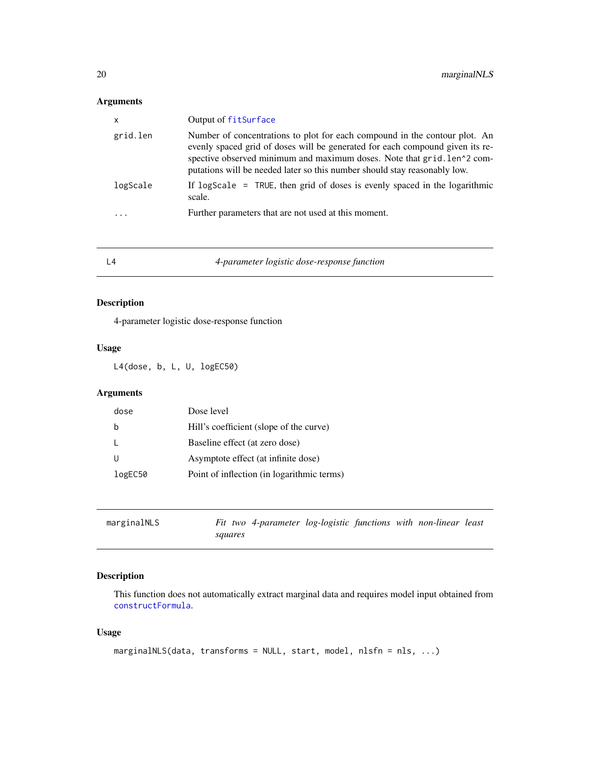### <span id="page-19-0"></span>Arguments

| $\boldsymbol{\mathsf{x}}$ | Output of fitSurface                                                                                                                                                                                                                                                                                                |
|---------------------------|---------------------------------------------------------------------------------------------------------------------------------------------------------------------------------------------------------------------------------------------------------------------------------------------------------------------|
| grid.len                  | Number of concentrations to plot for each compound in the contour plot. An<br>evenly spaced grid of doses will be generated for each compound given its re-<br>spective observed minimum and maximum doses. Note that grid. len^2 com-<br>putations will be needed later so this number should stay reasonably low. |
| logScale                  | If logScale = TRUE, then grid of doses is evenly spaced in the logarithmic<br>scale.                                                                                                                                                                                                                                |
| .                         | Further parameters that are not used at this moment.                                                                                                                                                                                                                                                                |

L4 *4-parameter logistic dose-response function*

### Description

4-parameter logistic dose-response function

#### Usage

L4(dose, b, L, U, logEC50)

### Arguments

| Hill's coefficient (slope of the curve)<br>h          |  |
|-------------------------------------------------------|--|
| Baseline effect (at zero dose)                        |  |
| Asymptote effect (at infinite dose)                   |  |
| Point of inflection (in logarithmic terms)<br>logEC50 |  |

| marginalNLS |         | Fit two 4-parameter log-logistic functions with non-linear least |  |  |  |
|-------------|---------|------------------------------------------------------------------|--|--|--|
|             | sauares |                                                                  |  |  |  |

### Description

This function does not automatically extract marginal data and requires model input obtained from [constructFormula](#page-4-1).

```
marginalNLS(data, transforms = NULL, start, model, nlsfn = nls, ...)
```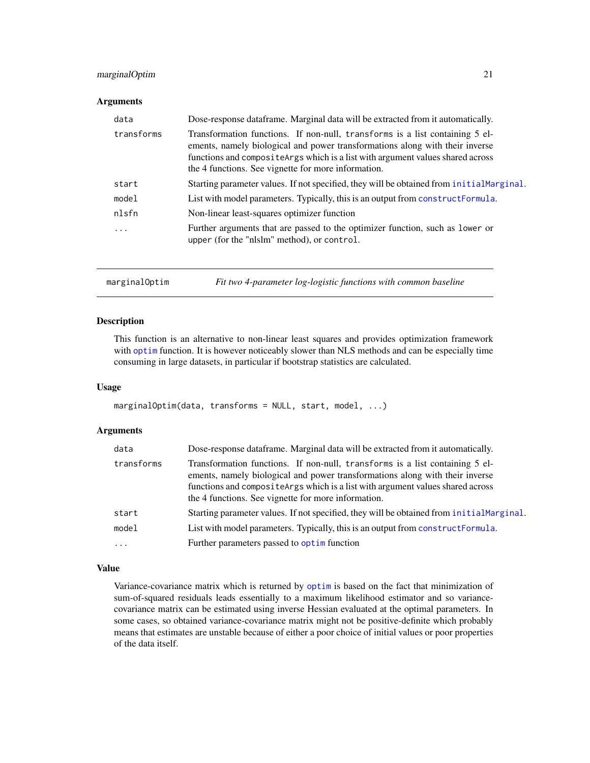### <span id="page-20-0"></span>marginalOptim 21

#### **Arguments**

| data       | Dose-response data frame. Marginal data will be extracted from it automatically.                                                                                                                                                                                                                       |
|------------|--------------------------------------------------------------------------------------------------------------------------------------------------------------------------------------------------------------------------------------------------------------------------------------------------------|
| transforms | Transformation functions. If non-null, transforms is a list containing 5 el-<br>ements, namely biological and power transformations along with their inverse<br>functions and composite Args which is a list with argument values shared across<br>the 4 functions. See vignette for more information. |
| start      | Starting parameter values. If not specified, they will be obtained from initial Marginal.                                                                                                                                                                                                              |
| model      | List with model parameters. Typically, this is an output from construct Formula.                                                                                                                                                                                                                       |
| nlsfn      | Non-linear least-squares optimizer function                                                                                                                                                                                                                                                            |
| .          | Further arguments that are passed to the optimizer function, such as lower or<br>upper (for the "nlslm" method), or control.                                                                                                                                                                           |
|            |                                                                                                                                                                                                                                                                                                        |

marginalOptim *Fit two 4-parameter log-logistic functions with common baseline*

#### Description

This function is an alternative to non-linear least squares and provides optimization framework with [optim](#page-0-0) function. It is however noticeably slower than NLS methods and can be especially time consuming in large datasets, in particular if bootstrap statistics are calculated.

#### Usage

```
marginalOptim(data, transforms = NULL, start, model, ...)
```
### Arguments

| data       | Dose-response dataframe. Marginal data will be extracted from it automatically.                                                                                                                                                                                                                        |
|------------|--------------------------------------------------------------------------------------------------------------------------------------------------------------------------------------------------------------------------------------------------------------------------------------------------------|
| transforms | Transformation functions. If non-null, transforms is a list containing 5 el-<br>ements, namely biological and power transformations along with their inverse<br>functions and composite Args which is a list with argument values shared across<br>the 4 functions. See vignette for more information. |
| start      | Starting parameter values. If not specified, they will be obtained from initial Marginal.                                                                                                                                                                                                              |
| model      | List with model parameters. Typically, this is an output from construct Formula.                                                                                                                                                                                                                       |
| $\cdots$   | Further parameters passed to optim function                                                                                                                                                                                                                                                            |

### Value

Variance-covariance matrix which is returned by [optim](#page-0-0) is based on the fact that minimization of sum-of-squared residuals leads essentially to a maximum likelihood estimator and so variancecovariance matrix can be estimated using inverse Hessian evaluated at the optimal parameters. In some cases, so obtained variance-covariance matrix might not be positive-definite which probably means that estimates are unstable because of either a poor choice of initial values or poor properties of the data itself.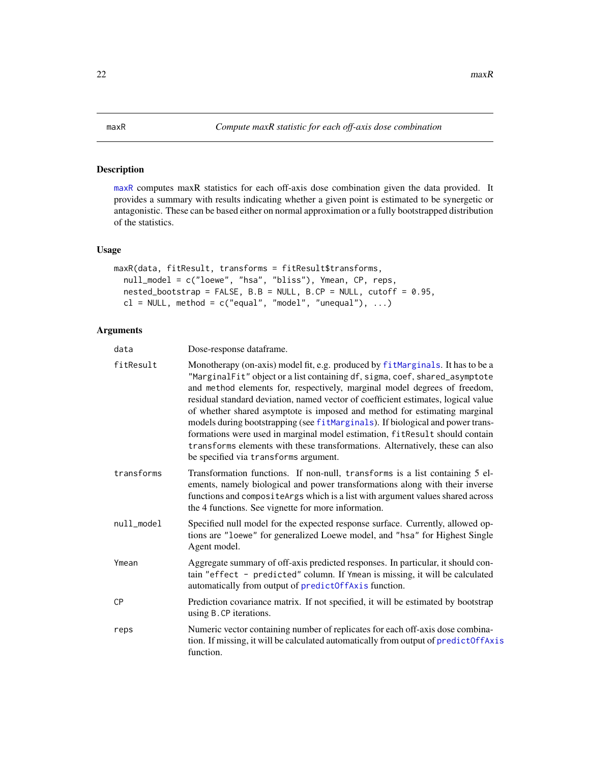### <span id="page-21-1"></span><span id="page-21-0"></span>Description

[maxR](#page-21-1) computes maxR statistics for each off-axis dose combination given the data provided. It provides a summary with results indicating whether a given point is estimated to be synergetic or antagonistic. These can be based either on normal approximation or a fully bootstrapped distribution of the statistics.

### Usage

```
maxR(data, fitResult, transforms = fitResult$transforms,
  null_model = c("loewe", "hsa", "bliss"), Ymean, CP, reps,
 nested\_bootstrap = FALSE, B.B = NULL, B.CP = NULL, cutoff = 0.95,cl = NULL, method = c("equal", "model", "unequal"), ...
```

| data       | Dose-response dataframe.                                                                                                                                                                                                                                                                                                                                                                                                                                                                                                                                                                                                                                                                                |
|------------|---------------------------------------------------------------------------------------------------------------------------------------------------------------------------------------------------------------------------------------------------------------------------------------------------------------------------------------------------------------------------------------------------------------------------------------------------------------------------------------------------------------------------------------------------------------------------------------------------------------------------------------------------------------------------------------------------------|
| fitResult  | Monotherapy (on-axis) model fit, e.g. produced by fitMarginals. It has to be a<br>"MarginalFit" object or a list containing df, sigma, coef, shared_asymptote<br>and method elements for, respectively, marginal model degrees of freedom,<br>residual standard deviation, named vector of coefficient estimates, logical value<br>of whether shared asymptote is imposed and method for estimating marginal<br>models during bootstrapping (see fitMarginals). If biological and power trans-<br>formations were used in marginal model estimation, fitResult should contain<br>transforms elements with these transformations. Alternatively, these can also<br>be specified via transforms argument. |
| transforms | Transformation functions. If non-null, transforms is a list containing 5 el-<br>ements, namely biological and power transformations along with their inverse<br>functions and compositeArgs which is a list with argument values shared across<br>the 4 functions. See vignette for more information.                                                                                                                                                                                                                                                                                                                                                                                                   |
| null_model | Specified null model for the expected response surface. Currently, allowed op-<br>tions are "loewe" for generalized Loewe model, and "hsa" for Highest Single<br>Agent model.                                                                                                                                                                                                                                                                                                                                                                                                                                                                                                                           |
| Ymean      | Aggregate summary of off-axis predicted responses. In particular, it should con-<br>tain "effect - predicted" column. If Ymean is missing, it will be calculated<br>automatically from output of predictOffAxis function.                                                                                                                                                                                                                                                                                                                                                                                                                                                                               |
| СP         | Prediction covariance matrix. If not specified, it will be estimated by bootstrap<br>using B.CP iterations.                                                                                                                                                                                                                                                                                                                                                                                                                                                                                                                                                                                             |
| reps       | Numeric vector containing number of replicates for each off-axis dose combina-<br>tion. If missing, it will be calculated automatically from output of predictOffAxis<br>function.                                                                                                                                                                                                                                                                                                                                                                                                                                                                                                                      |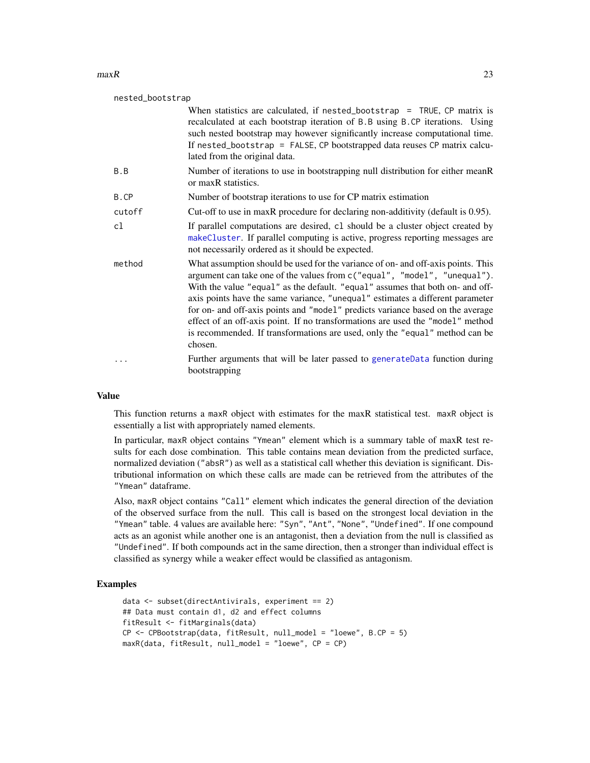#### <span id="page-22-0"></span> $maxR$  23

| nested_bootstrap |                                                                                                                                                                                                                                                                                                                                                                                                                                                                                                                                                                                              |
|------------------|----------------------------------------------------------------------------------------------------------------------------------------------------------------------------------------------------------------------------------------------------------------------------------------------------------------------------------------------------------------------------------------------------------------------------------------------------------------------------------------------------------------------------------------------------------------------------------------------|
|                  | When statistics are calculated, if nested_bootstrap = TRUE, $CP$ matrix is<br>recalculated at each bootstrap iteration of B.B using B.CP iterations. Using<br>such nested bootstrap may however significantly increase computational time.<br>If nested_bootstrap = FALSE, CP bootstrapped data reuses CP matrix calcu-<br>lated from the original data.                                                                                                                                                                                                                                     |
| B.B              | Number of iterations to use in bootstrapping null distribution for either meanR<br>or maxR statistics.                                                                                                                                                                                                                                                                                                                                                                                                                                                                                       |
| B.CP             | Number of bootstrap iterations to use for CP matrix estimation                                                                                                                                                                                                                                                                                                                                                                                                                                                                                                                               |
| cutoff           | Cut-off to use in maxR procedure for declaring non-additivity (default is 0.95).                                                                                                                                                                                                                                                                                                                                                                                                                                                                                                             |
| cl               | If parallel computations are desired, c1 should be a cluster object created by<br>makeCluster. If parallel computing is active, progress reporting messages are<br>not necessarily ordered as it should be expected.                                                                                                                                                                                                                                                                                                                                                                         |
| method           | What assumption should be used for the variance of on- and off-axis points. This<br>argument can take one of the values from c("equal", "model", "unequal").<br>With the value "equal" as the default. "equal" assumes that both on- and off-<br>axis points have the same variance, "unequal" estimates a different parameter<br>for on- and off-axis points and "model" predicts variance based on the average<br>effect of an off-axis point. If no transformations are used the "model" method<br>is recommended. If transformations are used, only the "equal" method can be<br>chosen. |
|                  | Further arguments that will be later passed to generateData function during<br>bootstrapping                                                                                                                                                                                                                                                                                                                                                                                                                                                                                                 |

#### Value

This function returns a maxR object with estimates for the maxR statistical test. maxR object is essentially a list with appropriately named elements.

In particular, maxR object contains "Ymean" element which is a summary table of maxR test results for each dose combination. This table contains mean deviation from the predicted surface, normalized deviation ("absR") as well as a statistical call whether this deviation is significant. Distributional information on which these calls are made can be retrieved from the attributes of the "Ymean" dataframe.

Also, maxR object contains "Call" element which indicates the general direction of the deviation of the observed surface from the null. This call is based on the strongest local deviation in the "Ymean" table. 4 values are available here: "Syn", "Ant", "None", "Undefined". If one compound acts as an agonist while another one is an antagonist, then a deviation from the null is classified as "Undefined". If both compounds act in the same direction, then a stronger than individual effect is classified as synergy while a weaker effect would be classified as antagonism.

#### Examples

```
data <- subset(directAntivirals, experiment == 2)
## Data must contain d1, d2 and effect columns
fitResult <- fitMarginals(data)
CP \leq CPBootstrap(data, fitResult, null_model = "loewe", B.CP = 5)
maxR(data, fitResult, null_model = "loewe", CP = CP)
```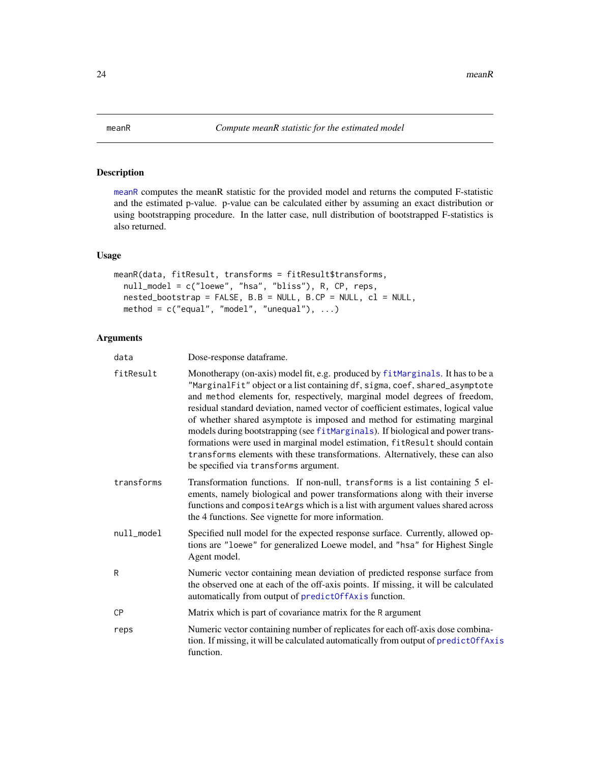<span id="page-23-1"></span><span id="page-23-0"></span>

### Description

[meanR](#page-23-1) computes the meanR statistic for the provided model and returns the computed F-statistic and the estimated p-value. p-value can be calculated either by assuming an exact distribution or using bootstrapping procedure. In the latter case, null distribution of bootstrapped F-statistics is also returned.

#### Usage

```
meanR(data, fitResult, transforms = fitResult$transforms,
  null_model = c("loewe", "hsa", "bliss"), R, CP, reps,
 nested\_bootstrap = FALSE, B.B = NULL, B.CP = NULL, c1 = NULL,method = c("equal", "model", "unequal"), ...)
```

| data       | Dose-response dataframe.                                                                                                                                                                                                                                                                                                                                                                                                                                                                                                                                                                                                                                                                                |
|------------|---------------------------------------------------------------------------------------------------------------------------------------------------------------------------------------------------------------------------------------------------------------------------------------------------------------------------------------------------------------------------------------------------------------------------------------------------------------------------------------------------------------------------------------------------------------------------------------------------------------------------------------------------------------------------------------------------------|
| fitResult  | Monotherapy (on-axis) model fit, e.g. produced by fitMarginals. It has to be a<br>"MarginalFit" object or a list containing df, sigma, coef, shared_asymptote<br>and method elements for, respectively, marginal model degrees of freedom,<br>residual standard deviation, named vector of coefficient estimates, logical value<br>of whether shared asymptote is imposed and method for estimating marginal<br>models during bootstrapping (see fitMarginals). If biological and power trans-<br>formations were used in marginal model estimation, fitResult should contain<br>transforms elements with these transformations. Alternatively, these can also<br>be specified via transforms argument. |
| transforms | Transformation functions. If non-null, transforms is a list containing 5 el-<br>ements, namely biological and power transformations along with their inverse<br>functions and compositeArgs which is a list with argument values shared across<br>the 4 functions. See vignette for more information.                                                                                                                                                                                                                                                                                                                                                                                                   |
| null model | Specified null model for the expected response surface. Currently, allowed op-<br>tions are "loewe" for generalized Loewe model, and "hsa" for Highest Single<br>Agent model.                                                                                                                                                                                                                                                                                                                                                                                                                                                                                                                           |
| R          | Numeric vector containing mean deviation of predicted response surface from<br>the observed one at each of the off-axis points. If missing, it will be calculated<br>automatically from output of predictOffAxis function.                                                                                                                                                                                                                                                                                                                                                                                                                                                                              |
| СP         | Matrix which is part of covariance matrix for the R argument                                                                                                                                                                                                                                                                                                                                                                                                                                                                                                                                                                                                                                            |
| reps       | Numeric vector containing number of replicates for each off-axis dose combina-<br>tion. If missing, it will be calculated automatically from output of predictOffAxis<br>function.                                                                                                                                                                                                                                                                                                                                                                                                                                                                                                                      |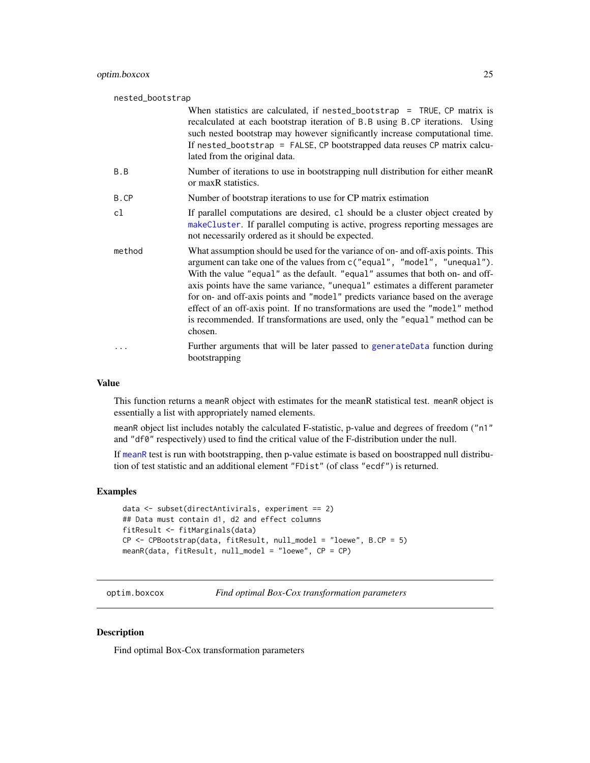### <span id="page-24-0"></span>optim.boxcox 25

| nested_bootstrap |                                                                                                                                                                                                                                                                                                                                                                                                                                                                                                                                                                                              |
|------------------|----------------------------------------------------------------------------------------------------------------------------------------------------------------------------------------------------------------------------------------------------------------------------------------------------------------------------------------------------------------------------------------------------------------------------------------------------------------------------------------------------------------------------------------------------------------------------------------------|
|                  | When statistics are calculated, if nested_bootstrap = TRUE, CP matrix is<br>recalculated at each bootstrap iteration of B.B using B.CP iterations. Using<br>such nested bootstrap may however significantly increase computational time.<br>If nested_bootstrap = FALSE, CP bootstrapped data reuses CP matrix calcu-<br>lated from the original data.                                                                                                                                                                                                                                       |
| B.B              | Number of iterations to use in bootstrapping null distribution for either meanR<br>or maxR statistics.                                                                                                                                                                                                                                                                                                                                                                                                                                                                                       |
| B.CP             | Number of bootstrap iterations to use for CP matrix estimation                                                                                                                                                                                                                                                                                                                                                                                                                                                                                                                               |
| c1               | If parallel computations are desired, c1 should be a cluster object created by<br>makeCluster. If parallel computing is active, progress reporting messages are<br>not necessarily ordered as it should be expected.                                                                                                                                                                                                                                                                                                                                                                         |
| method           | What assumption should be used for the variance of on- and off-axis points. This<br>argument can take one of the values from c("equal", "model", "unequal").<br>With the value "equal" as the default. "equal" assumes that both on- and off-<br>axis points have the same variance, "unequal" estimates a different parameter<br>for on- and off-axis points and "model" predicts variance based on the average<br>effect of an off-axis point. If no transformations are used the "model" method<br>is recommended. If transformations are used, only the "equal" method can be<br>chosen. |
|                  | Further arguments that will be later passed to generateData function during<br>bootstrapping                                                                                                                                                                                                                                                                                                                                                                                                                                                                                                 |

#### Value

This function returns a meanR object with estimates for the meanR statistical test. meanR object is essentially a list with appropriately named elements.

meanR object list includes notably the calculated F-statistic, p-value and degrees of freedom ("n1" and "df0" respectively) used to find the critical value of the F-distribution under the null.

If [meanR](#page-23-1) test is run with bootstrapping, then p-value estimate is based on boostrapped null distribution of test statistic and an additional element "FDist" (of class "ecdf") is returned.

#### Examples

```
data <- subset(directAntivirals, experiment == 2)
## Data must contain d1, d2 and effect columns
fitResult <- fitMarginals(data)
CP <- CPBootstrap(data, fitResult, null_model = "loewe", B.CP = 5)
meanR(data, fitResult, null_model = "loewe", CP = CP)
```
<span id="page-24-1"></span>optim.boxcox *Find optimal Box-Cox transformation parameters*

### Description

Find optimal Box-Cox transformation parameters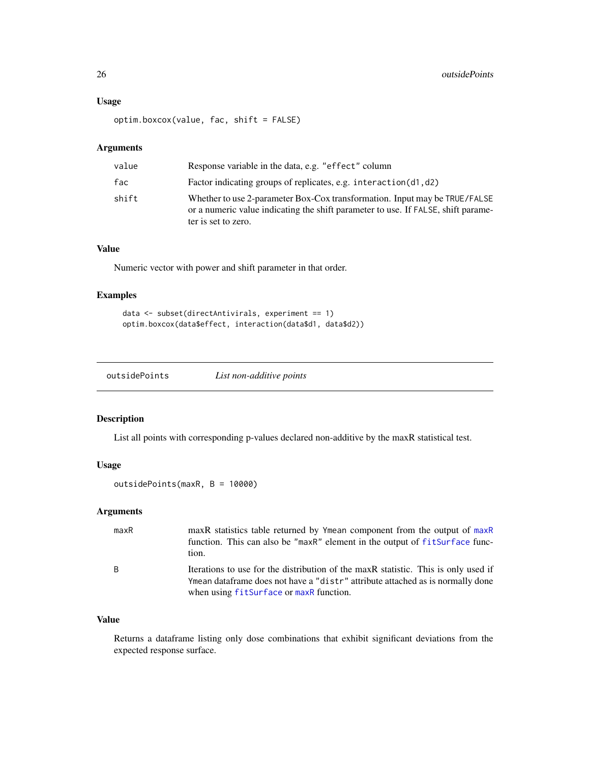### <span id="page-25-0"></span>Usage

optim.boxcox(value, fac, shift = FALSE)

### Arguments

| value | Response variable in the data, e.g. "effect" column                                                                                                                                    |
|-------|----------------------------------------------------------------------------------------------------------------------------------------------------------------------------------------|
| fac   | Factor indicating groups of replicates, e.g. interaction(d1,d2)                                                                                                                        |
| shift | Whether to use 2-parameter Box-Cox transformation. Input may be TRUE/FALSE<br>or a numeric value indicating the shift parameter to use. If FALSE, shift parame-<br>ter is set to zero. |

### Value

Numeric vector with power and shift parameter in that order.

### Examples

```
data <- subset(directAntivirals, experiment == 1)
optim.boxcox(data$effect, interaction(data$d1, data$d2))
```

| outsidePoints | List non-additive points |  |
|---------------|--------------------------|--|
|---------------|--------------------------|--|

### Description

List all points with corresponding p-values declared non-additive by the maxR statistical test.

#### Usage

outsidePoints(maxR, B = 10000)

### Arguments

| maxR | maxR statistics table returned by Ymean component from the output of maxR<br>function. This can also be "maxR" element in the output of fitSurface func-<br>tion.                                               |
|------|-----------------------------------------------------------------------------------------------------------------------------------------------------------------------------------------------------------------|
| B    | Iterations to use for the distribution of the maxR statistic. This is only used if<br>Ymean dataframe does not have a "distr" attribute attached as is normally done<br>when using fitSurface or maxR function. |

### Value

Returns a dataframe listing only dose combinations that exhibit significant deviations from the expected response surface.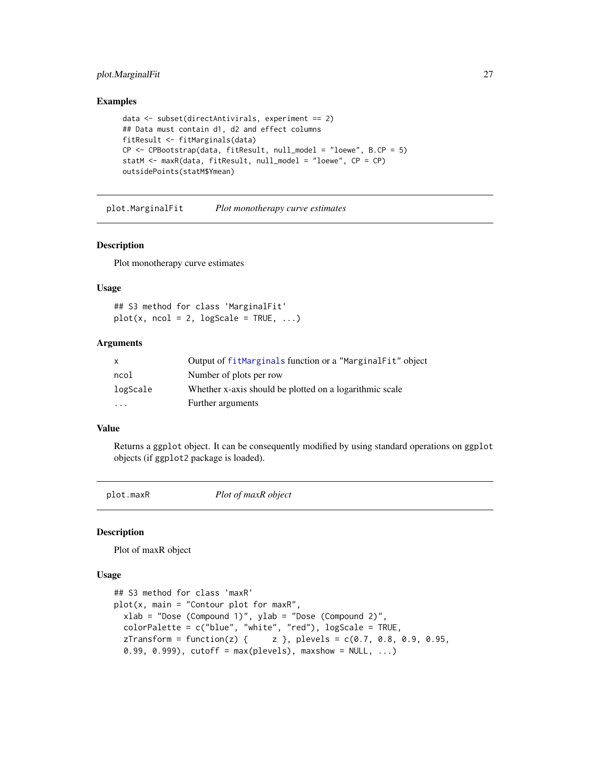### <span id="page-26-0"></span>plot.MarginalFit 27

#### Examples

```
data <- subset(directAntivirals, experiment == 2)
## Data must contain d1, d2 and effect columns
fitResult <- fitMarginals(data)
CP \leq CPBootstrap(data, fitResult, null_model = "loewe", B.CP = 5)
statM <- maxR(data, fitResult, null_model = "loewe", CP = CP)
outsidePoints(statM$Ymean)
```
plot.MarginalFit *Plot monotherapy curve estimates*

#### Description

Plot monotherapy curve estimates

#### Usage

```
## S3 method for class 'MarginalFit'
plot(x, ncol = 2, logScale = TRUE, ...)
```
#### Arguments

| X        | Output of fitMarginals function or a "MarginalFit" object |
|----------|-----------------------------------------------------------|
| ncol     | Number of plots per row                                   |
| logScale | Whether x-axis should be plotted on a logarithmic scale   |
| $\cdot$  | Further arguments                                         |

#### Value

Returns a ggplot object. It can be consequently modified by using standard operations on ggplot objects (if ggplot2 package is loaded).

<span id="page-26-1"></span>plot.maxR *Plot of maxR object*

#### Description

Plot of maxR object

```
## S3 method for class 'maxR'
plot(x, main = "Contour plot for maxR",xlab = "Dose (Compound 1)", ylab = "Dose (Compound 2)",
  colorPalette = c("blue", "white", "red"), logScale = TRUE,
 zTransform = function(z) { \qquad z }, plevels = c(0.7, 0.8, 0.9, 0.95,
  0.99, 0.999), cutoff = max(plevels), maxshow = NULL, ...)
```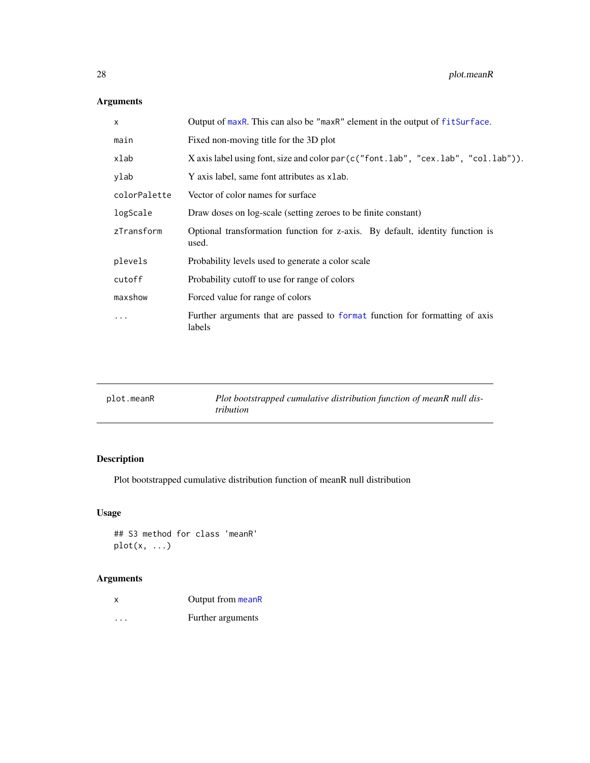### Arguments

| Output of maxR. This can also be "maxR" element in the output of fitSurface.           |
|----------------------------------------------------------------------------------------|
| Fixed non-moving title for the 3D plot                                                 |
| X axis label using font, size and color par(c("font.lab", "cex.lab", "col.lab")).      |
| Y axis label, same font attributes as xlab.                                            |
| Vector of color names for surface                                                      |
| Draw doses on log-scale (setting zeroes to be finite constant)                         |
| Optional transformation function for z-axis. By default, identity function is<br>used. |
| Probability levels used to generate a color scale                                      |
| Probability cutoff to use for range of colors                                          |
| Forced value for range of colors                                                       |
| Further arguments that are passed to format function for formatting of axis<br>labels  |
|                                                                                        |

| plot.meanR | Plot bootstrapped cumulative distribution function of meanR null dis-<br><i>tribution</i> |
|------------|-------------------------------------------------------------------------------------------|
|            |                                                                                           |

### Description

Plot bootstrapped cumulative distribution function of meanR null distribution

### Usage

## S3 method for class 'meanR'  $plot(x, \ldots)$ 

| X        | Output from meanR |
|----------|-------------------|
| $\cdots$ | Further arguments |

<span id="page-27-0"></span>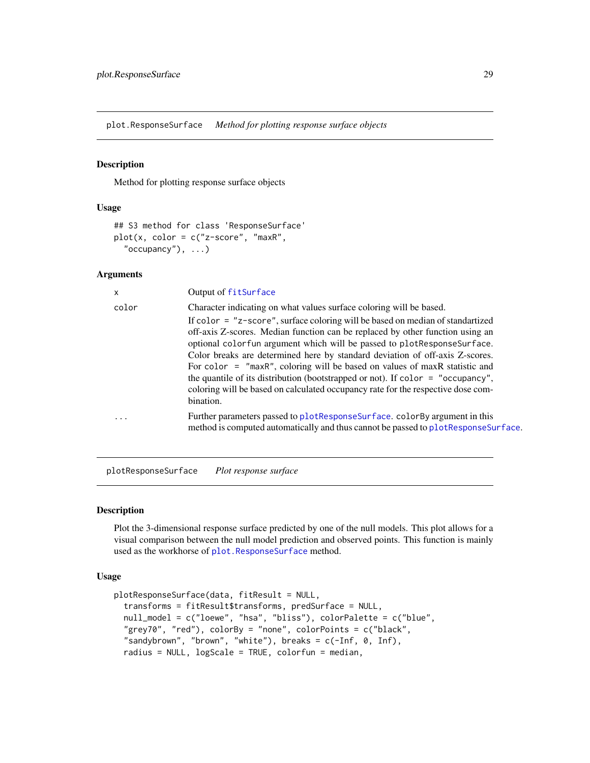<span id="page-28-2"></span><span id="page-28-0"></span>plot.ResponseSurface *Method for plotting response surface objects*

#### Description

Method for plotting response surface objects

#### Usage

```
## S3 method for class 'ResponseSurface'
plot(x, color = c("z-score", "maxR",
  "occupancy", ...)
```
#### Arguments

| x        | Output of fitSurface                                                                                                                                                                                                                                                                                                                                                                                                                                                                                                                                                                                 |
|----------|------------------------------------------------------------------------------------------------------------------------------------------------------------------------------------------------------------------------------------------------------------------------------------------------------------------------------------------------------------------------------------------------------------------------------------------------------------------------------------------------------------------------------------------------------------------------------------------------------|
| color    | Character indicating on what values surface coloring will be based.                                                                                                                                                                                                                                                                                                                                                                                                                                                                                                                                  |
|          | If color $=$ "z-score", surface coloring will be based on median of standartized<br>off-axis Z-scores. Median function can be replaced by other function using an<br>optional colorfun argument which will be passed to plot Response Surface.<br>Color breaks are determined here by standard deviation of off-axis Z-scores.<br>For color $=$ "maxR", coloring will be based on values of maxR statistic and<br>the quantile of its distribution (bootstrapped or not). If $color = "occupancy",$<br>coloring will be based on calculated occupancy rate for the respective dose com-<br>bination. |
| $\cdots$ | Further parameters passed to plot Response Surface. color By argument in this<br>method is computed automatically and thus cannot be passed to plot Response Surface.                                                                                                                                                                                                                                                                                                                                                                                                                                |
|          |                                                                                                                                                                                                                                                                                                                                                                                                                                                                                                                                                                                                      |

<span id="page-28-1"></span>plotResponseSurface *Plot response surface*

#### Description

Plot the 3-dimensional response surface predicted by one of the null models. This plot allows for a visual comparison between the null model prediction and observed points. This function is mainly used as the workhorse of [plot.ResponseSurface](#page-28-2) method.

```
plotResponseSurface(data, fitResult = NULL,
  transforms = fitResult$transforms, predSurface = NULL,
  null_model = c("loewe", "hsa", "bliss"), colorPalette = c("blue",
  "grey70", "red"), colorBy = "none", colorPoints = c("black",
  "sandybrown", "brown", "white"), breaks = c(-Inf, 0, Inf),
  radius = NULL, logScale = TRUE, colorfun = median,
```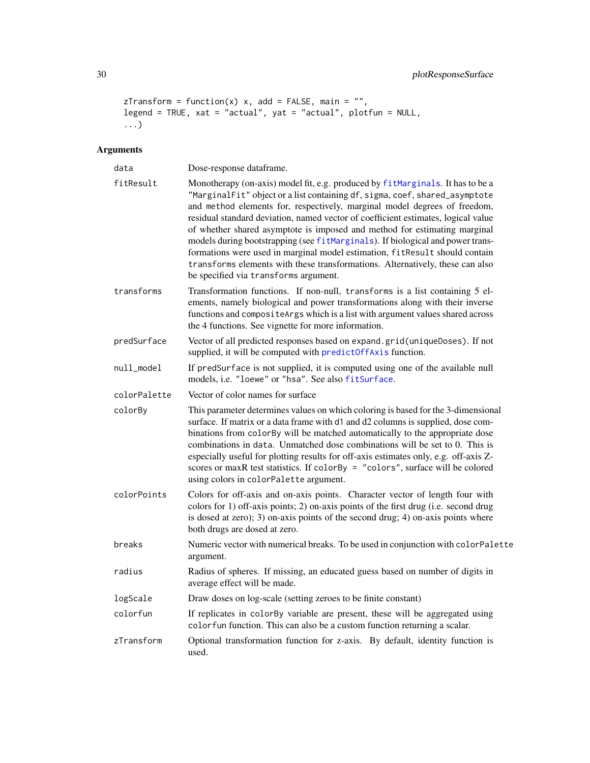```
zTransform = function(x) x, add = FALSE, main = ",
legend = TRUE, xat = "actual", yat = "actual", plotfun = NULL,
...)
```

| data         | Dose-response dataframe.                                                                                                                                                                                                                                                                                                                                                                                                                                                                                                                                                                                                                                                                                |
|--------------|---------------------------------------------------------------------------------------------------------------------------------------------------------------------------------------------------------------------------------------------------------------------------------------------------------------------------------------------------------------------------------------------------------------------------------------------------------------------------------------------------------------------------------------------------------------------------------------------------------------------------------------------------------------------------------------------------------|
| fitResult    | Monotherapy (on-axis) model fit, e.g. produced by fitMarginals. It has to be a<br>"MarginalFit" object or a list containing df, sigma, coef, shared_asymptote<br>and method elements for, respectively, marginal model degrees of freedom,<br>residual standard deviation, named vector of coefficient estimates, logical value<br>of whether shared asymptote is imposed and method for estimating marginal<br>models during bootstrapping (see fitMarginals). If biological and power trans-<br>formations were used in marginal model estimation, fitResult should contain<br>transforms elements with these transformations. Alternatively, these can also<br>be specified via transforms argument. |
| transforms   | Transformation functions. If non-null, transforms is a list containing 5 el-<br>ements, namely biological and power transformations along with their inverse<br>functions and compositeArgs which is a list with argument values shared across<br>the 4 functions. See vignette for more information.                                                                                                                                                                                                                                                                                                                                                                                                   |
| predSurface  | Vector of all predicted responses based on expand.grid(uniqueDoses). If not<br>supplied, it will be computed with predict0ffAxis function.                                                                                                                                                                                                                                                                                                                                                                                                                                                                                                                                                              |
| null_model   | If predSurface is not supplied, it is computed using one of the available null<br>models, i.e. "loewe" or "hsa". See also fitSurface.                                                                                                                                                                                                                                                                                                                                                                                                                                                                                                                                                                   |
| colorPalette | Vector of color names for surface                                                                                                                                                                                                                                                                                                                                                                                                                                                                                                                                                                                                                                                                       |
| colorBy      | This parameter determines values on which coloring is based for the 3-dimensional<br>surface. If matrix or a data frame with d1 and d2 columns is supplied, dose com-<br>binations from colorBy will be matched automatically to the appropriate dose<br>combinations in data. Unmatched dose combinations will be set to 0. This is<br>especially useful for plotting results for off-axis estimates only, e.g. off-axis Z-<br>scores or maxR test statistics. If colorBy = "colors", surface will be colored<br>using colors in colorPalette argument.                                                                                                                                                |
| colorPoints  | Colors for off-axis and on-axis points. Character vector of length four with<br>colors for 1) off-axis points; 2) on-axis points of the first drug (i.e. second drug<br>is dosed at zero); 3) on-axis points of the second drug; 4) on-axis points where<br>both drugs are dosed at zero.                                                                                                                                                                                                                                                                                                                                                                                                               |
| breaks       | Numeric vector with numerical breaks. To be used in conjunction with colorPalette<br>argument.                                                                                                                                                                                                                                                                                                                                                                                                                                                                                                                                                                                                          |
| radius       | Radius of spheres. If missing, an educated guess based on number of digits in<br>average effect will be made.                                                                                                                                                                                                                                                                                                                                                                                                                                                                                                                                                                                           |
| logScale     | Draw doses on log-scale (setting zeroes to be finite constant)                                                                                                                                                                                                                                                                                                                                                                                                                                                                                                                                                                                                                                          |
| colorfun     | If replicates in colorBy variable are present, these will be aggregated using<br>colorfun function. This can also be a custom function returning a scalar.                                                                                                                                                                                                                                                                                                                                                                                                                                                                                                                                              |
| zTransform   | Optional transformation function for z-axis. By default, identity function is<br>used.                                                                                                                                                                                                                                                                                                                                                                                                                                                                                                                                                                                                                  |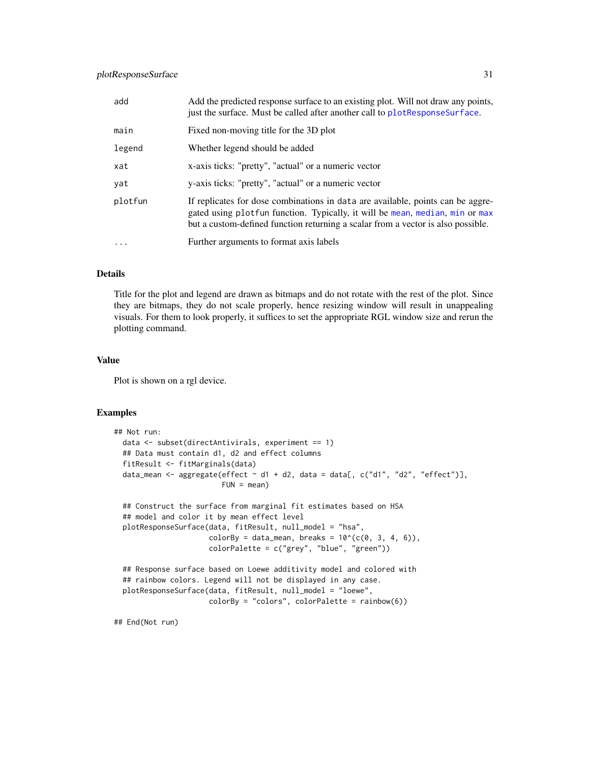### <span id="page-30-0"></span>plotResponseSurface 31

| add     | Add the predicted response surface to an existing plot. Will not draw any points,<br>just the surface. Must be called after another call to plot Response Surface.                                                                                  |
|---------|-----------------------------------------------------------------------------------------------------------------------------------------------------------------------------------------------------------------------------------------------------|
| main    | Fixed non-moving title for the 3D plot                                                                                                                                                                                                              |
| legend  | Whether legend should be added                                                                                                                                                                                                                      |
| xat     | x-axis ticks: "pretty", "actual" or a numeric vector                                                                                                                                                                                                |
| yat     | y-axis ticks: "pretty", "actual" or a numeric vector                                                                                                                                                                                                |
| plotfun | If replicates for dose combinations in data are available, points can be aggre-<br>gated using plotfun function. Typically, it will be mean, median, min or max<br>but a custom-defined function returning a scalar from a vector is also possible. |
|         | Further arguments to format axis labels                                                                                                                                                                                                             |

### Details

Title for the plot and legend are drawn as bitmaps and do not rotate with the rest of the plot. Since they are bitmaps, they do not scale properly, hence resizing window will result in unappealing visuals. For them to look properly, it suffices to set the appropriate RGL window size and rerun the plotting command.

### Value

Plot is shown on a rgl device.

### Examples

```
## Not run:
 data <- subset(directAntivirals, experiment == 1)
 ## Data must contain d1, d2 and effect columns
 fitResult <- fitMarginals(data)
 data_mean <- aggregate(effect \sim d1 + d2, data = data[, c("d1", "d2", "effect")],
                        FUN = mean)
 ## Construct the surface from marginal fit estimates based on HSA
 ## model and color it by mean effect level
 plotResponseSurface(data, fitResult, null_model = "hsa",
                      colorBy = data_mean, breaks = 10^(c(0, 3, 4, 6)),
                      colorPalette = c("grey", "blue", "green"))
 ## Response surface based on Loewe additivity model and colored with
 ## rainbow colors. Legend will not be displayed in any case.
 plotResponseSurface(data, fitResult, null_model = "loewe",
                     colorBy = "colors", colorPalette = rainbow(6))
```
## End(Not run)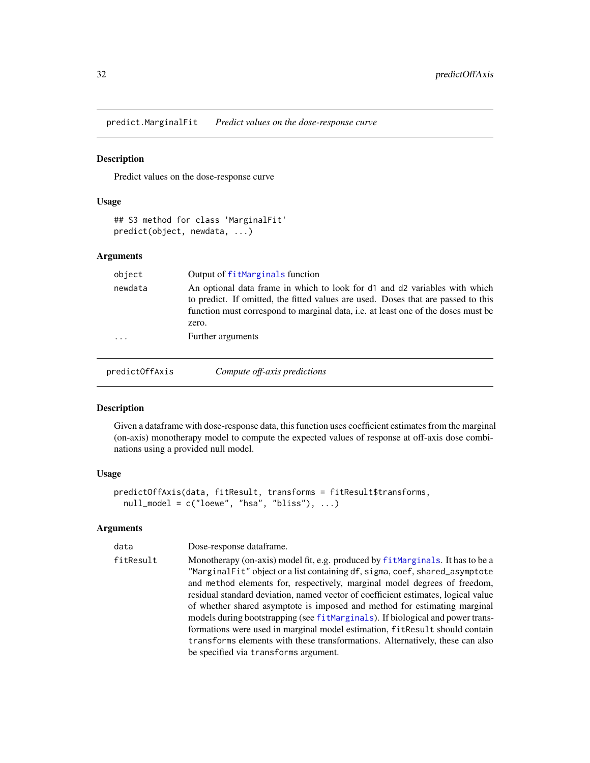<span id="page-31-0"></span>predict.MarginalFit *Predict values on the dose-response curve*

### Description

Predict values on the dose-response curve

### Usage

```
## S3 method for class 'MarginalFit'
predict(object, newdata, ...)
```
#### Arguments

| object  | Output of fitMarginals function                                                                                                                                                                                                                                      |
|---------|----------------------------------------------------------------------------------------------------------------------------------------------------------------------------------------------------------------------------------------------------------------------|
| newdata | An optional data frame in which to look for d1 and d2 variables with which<br>to predict. If omitted, the fitted values are used. Doses that are passed to this<br>function must correspond to marginal data, <i>i.e.</i> at least one of the doses must be<br>zero. |
| .       | Further arguments                                                                                                                                                                                                                                                    |
|         |                                                                                                                                                                                                                                                                      |

<span id="page-31-1"></span>predictOffAxis *Compute off-axis predictions*

### Description

Given a dataframe with dose-response data, this function uses coefficient estimates from the marginal (on-axis) monotherapy model to compute the expected values of response at off-axis dose combinations using a provided null model.

#### Usage

```
predictOffAxis(data, fitResult, transforms = fitResult$transforms,
 null_model = c("loewe", "hsa", "bliss"), ...)
```

| data      | Dose-response dataframe.                                                                                                                                                                                                                                                                                                                                                                                      |
|-----------|---------------------------------------------------------------------------------------------------------------------------------------------------------------------------------------------------------------------------------------------------------------------------------------------------------------------------------------------------------------------------------------------------------------|
| fitResult | Monotherapy (on-axis) model fit, e.g. produced by fit Marginals. It has to be a<br>"MarginalFit" object or a list containing df, sigma, coef, shared_asymptote<br>and method elements for, respectively, marginal model degrees of freedom,<br>residual standard deviation, named vector of coefficient estimates, logical value<br>of whether shared asymptote is imposed and method for estimating marginal |
|           | models during bootstrapping (see fitMarginals). If biological and power trans-<br>formations were used in marginal model estimation, fitResult should contain<br>transforms elements with these transformations. Alternatively, these can also<br>be specified via transforms argument.                                                                                                                       |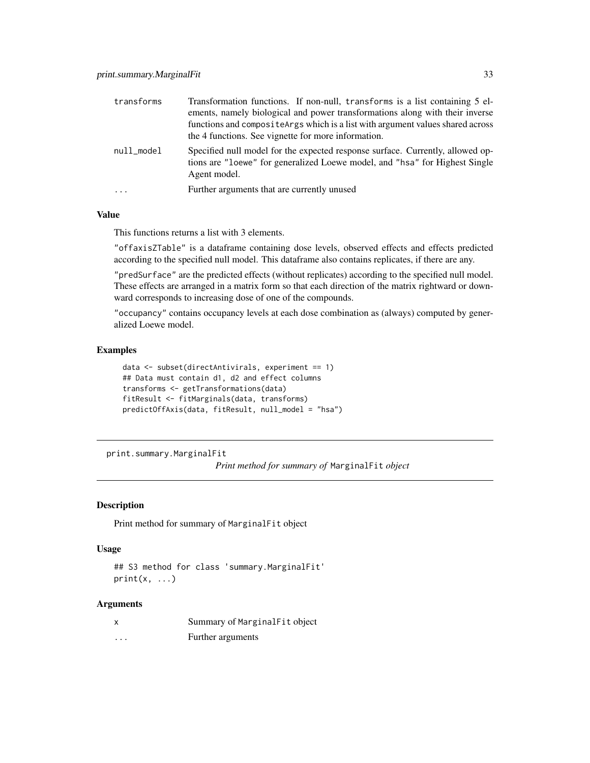<span id="page-32-0"></span>

| transforms | Transformation functions. If non-null, transforms is a list containing 5 el-<br>ements, namely biological and power transformations along with their inverse<br>functions and composite Args which is a list with argument values shared across<br>the 4 functions. See vignette for more information. |
|------------|--------------------------------------------------------------------------------------------------------------------------------------------------------------------------------------------------------------------------------------------------------------------------------------------------------|
| null_model | Specified null model for the expected response surface. Currently, allowed op-<br>tions are "loewe" for generalized Loewe model, and "hsa" for Highest Single<br>Agent model.                                                                                                                          |
| $\ddotsc$  | Further arguments that are currently unused                                                                                                                                                                                                                                                            |

#### Value

This functions returns a list with 3 elements.

"offaxisZTable" is a dataframe containing dose levels, observed effects and effects predicted according to the specified null model. This dataframe also contains replicates, if there are any.

"predSurface" are the predicted effects (without replicates) according to the specified null model. These effects are arranged in a matrix form so that each direction of the matrix rightward or downward corresponds to increasing dose of one of the compounds.

"occupancy" contains occupancy levels at each dose combination as (always) computed by generalized Loewe model.

### Examples

```
data <- subset(directAntivirals, experiment == 1)
## Data must contain d1, d2 and effect columns
transforms <- getTransformations(data)
fitResult <- fitMarginals(data, transforms)
predictOffAxis(data, fitResult, null_model = "hsa")
```
print.summary.MarginalFit

*Print method for summary of* MarginalFit *object*

#### Description

Print method for summary of MarginalFit object

#### Usage

## S3 method for class 'summary.MarginalFit'  $print(x, \ldots)$ 

| X        | Summary of MarginalFit object |
|----------|-------------------------------|
| $\cdots$ | Further arguments             |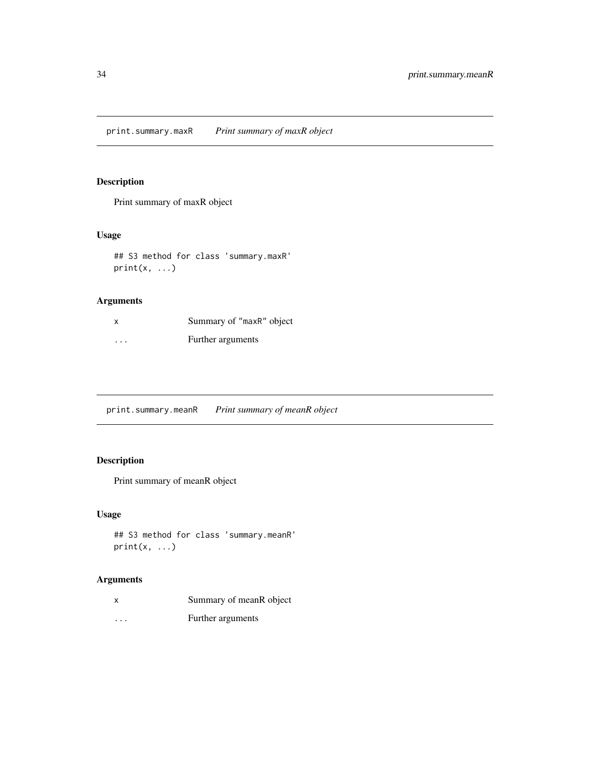<span id="page-33-0"></span>print.summary.maxR *Print summary of maxR object*

### Description

Print summary of maxR object

### Usage

```
## S3 method for class 'summary.maxR'
print(x, \ldots)
```
### Arguments

| X                       | Summary of "maxR" object |
|-------------------------|--------------------------|
| $\cdot$ $\cdot$ $\cdot$ | Further arguments        |

print.summary.meanR *Print summary of meanR object*

### Description

Print summary of meanR object

### Usage

```
## S3 method for class 'summary.meanR'
print(x, \ldots)
```

| X        | Summary of mean R object |
|----------|--------------------------|
| $\cdots$ | Further arguments        |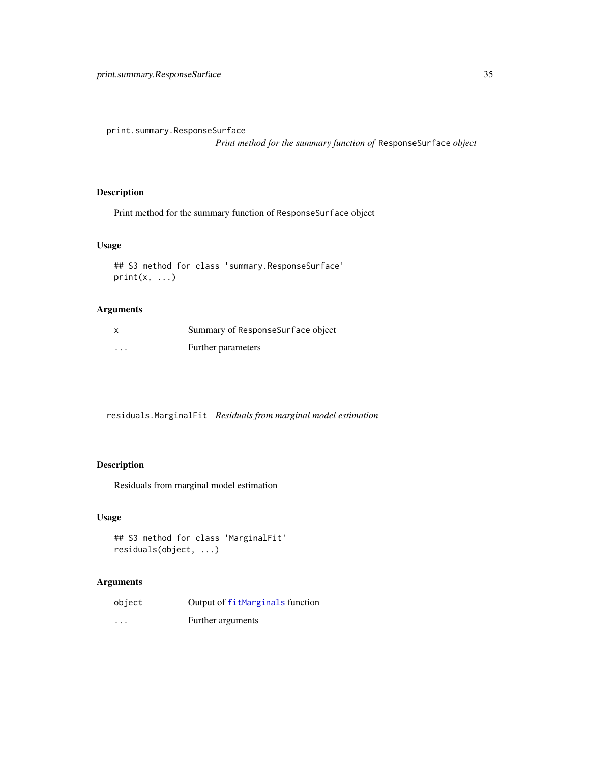<span id="page-34-0"></span>print.summary.ResponseSurface

*Print method for the summary function of* ResponseSurface *object*

### Description

Print method for the summary function of ResponseSurface object

#### Usage

```
## S3 method for class 'summary.ResponseSurface'
print(x, \ldots)
```
### Arguments

|          | Summary of ResponseSurface object |
|----------|-----------------------------------|
| $\cdots$ | Further parameters                |

residuals.MarginalFit *Residuals from marginal model estimation*

### Description

Residuals from marginal model estimation

#### Usage

```
## S3 method for class 'MarginalFit'
residuals(object, ...)
```

| object                  | Output of fitMarginals function |
|-------------------------|---------------------------------|
| $\cdot$ $\cdot$ $\cdot$ | Further arguments               |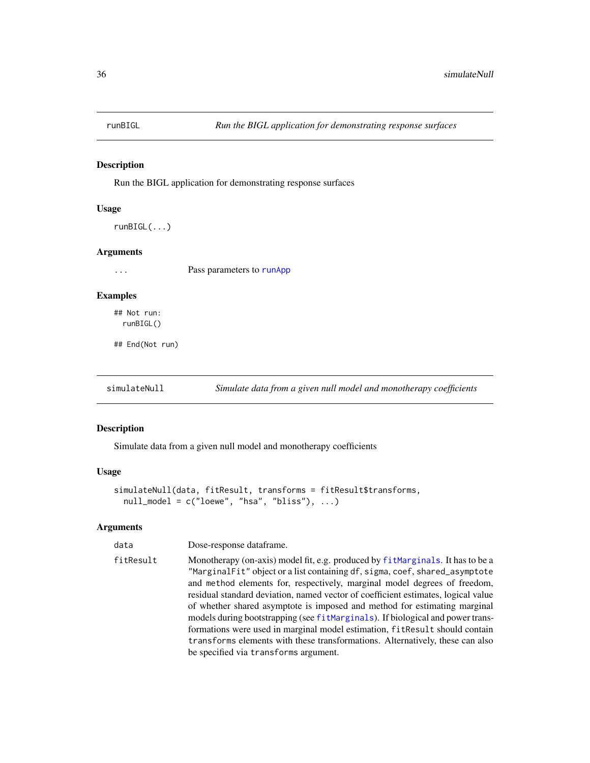<span id="page-35-0"></span>

### Description

Run the BIGL application for demonstrating response surfaces

#### Usage

runBIGL(...)

### Arguments

... Pass parameters to [runApp](#page-0-0)

### Examples

## Not run: runBIGL()

## End(Not run)

<span id="page-35-1"></span>simulateNull *Simulate data from a given null model and monotherapy coefficients* 

### Description

Simulate data from a given null model and monotherapy coefficients

### Usage

```
simulateNull(data, fitResult, transforms = fitResult$transforms,
 null_model = c("loewe", "hsa", "bliss"), ...
```

| data      | Dose-response dataframe.                                                                                                                                                                                                                                                                                                                                                                                                                                                                                                                                                                                                                                                                                 |
|-----------|----------------------------------------------------------------------------------------------------------------------------------------------------------------------------------------------------------------------------------------------------------------------------------------------------------------------------------------------------------------------------------------------------------------------------------------------------------------------------------------------------------------------------------------------------------------------------------------------------------------------------------------------------------------------------------------------------------|
| fitResult | Monotherapy (on-axis) model fit, e.g. produced by fit Marginals. It has to be a<br>"MarginalFit" object or a list containing df, sigma, coef, shared_asymptote<br>and method elements for, respectively, marginal model degrees of freedom,<br>residual standard deviation, named vector of coefficient estimates, logical value<br>of whether shared asymptote is imposed and method for estimating marginal<br>models during bootstrapping (see fitMarginals). If biological and power trans-<br>formations were used in marginal model estimation, fitResult should contain<br>transforms elements with these transformations. Alternatively, these can also<br>be specified via transforms argument. |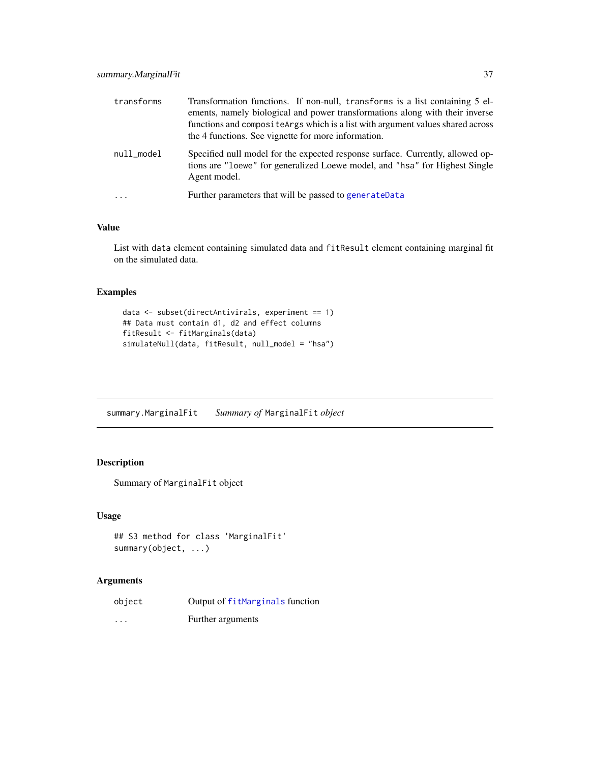<span id="page-36-0"></span>

| transforms | Transformation functions. If non-null, transforms is a list containing 5 el-<br>ements, namely biological and power transformations along with their inverse<br>functions and composite Args which is a list with argument values shared across<br>the 4 functions. See vignette for more information. |
|------------|--------------------------------------------------------------------------------------------------------------------------------------------------------------------------------------------------------------------------------------------------------------------------------------------------------|
| null_model | Specified null model for the expected response surface. Currently, allowed op-<br>tions are "loewe" for generalized Loewe model, and "hsa" for Highest Single<br>Agent model.                                                                                                                          |
| $\ddotsc$  | Further parameters that will be passed to generate Data                                                                                                                                                                                                                                                |

### Value

List with data element containing simulated data and fitResult element containing marginal fit on the simulated data.

### Examples

```
data <- subset(directAntivirals, experiment == 1)
## Data must contain d1, d2 and effect columns
fitResult <- fitMarginals(data)
simulateNull(data, fitResult, null_model = "hsa")
```
summary.MarginalFit *Summary of* MarginalFit *object*

### Description

Summary of MarginalFit object

#### Usage

```
## S3 method for class 'MarginalFit'
summary(object, ...)
```

| object                  | Output of fitMarginals function |
|-------------------------|---------------------------------|
| $\cdot$ $\cdot$ $\cdot$ | Further arguments               |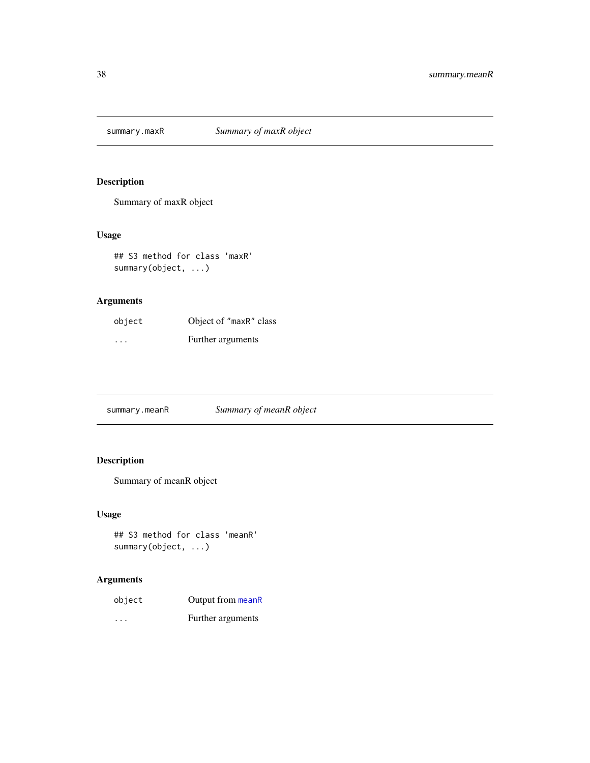<span id="page-37-0"></span>

### Description

Summary of maxR object

### Usage

## S3 method for class 'maxR' summary(object, ...)

### Arguments

| object   | Object of "maxR" class |
|----------|------------------------|
| $\cdots$ | Further arguments      |

summary.meanR *Summary of meanR object*

### Description

Summary of meanR object

### Usage

```
## S3 method for class 'meanR'
summary(object, ...)
```

| object  | Output from meanR |
|---------|-------------------|
| $\cdot$ | Further arguments |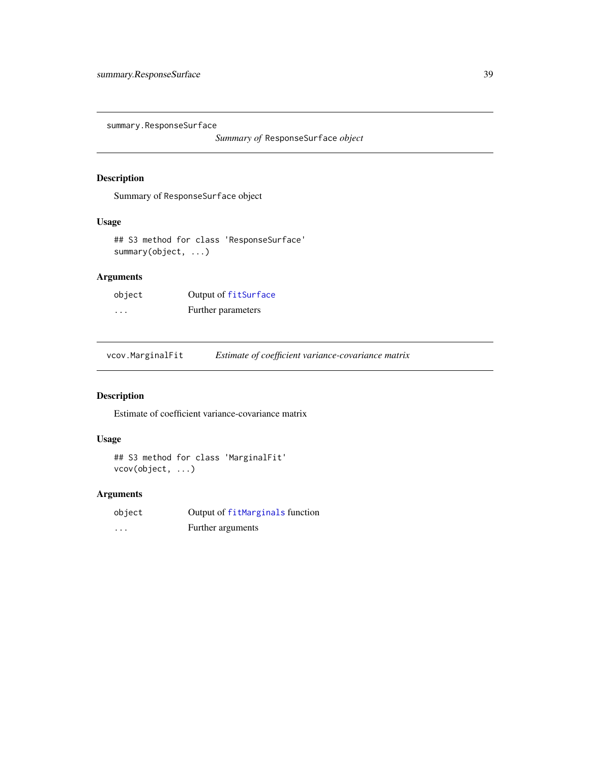<span id="page-38-0"></span>summary.ResponseSurface

*Summary of* ResponseSurface *object*

### Description

Summary of ResponseSurface object

### Usage

## S3 method for class 'ResponseSurface' summary(object, ...)

### Arguments

| object   | Output of fitSurface |
|----------|----------------------|
| $\cdots$ | Further parameters   |

vcov.MarginalFit *Estimate of coefficient variance-covariance matrix*

#### Description

Estimate of coefficient variance-covariance matrix

### Usage

```
## S3 method for class 'MarginalFit'
vcov(object, ...)
```

| object   | Output of fitMarginals function |
|----------|---------------------------------|
| $\cdots$ | Further arguments               |